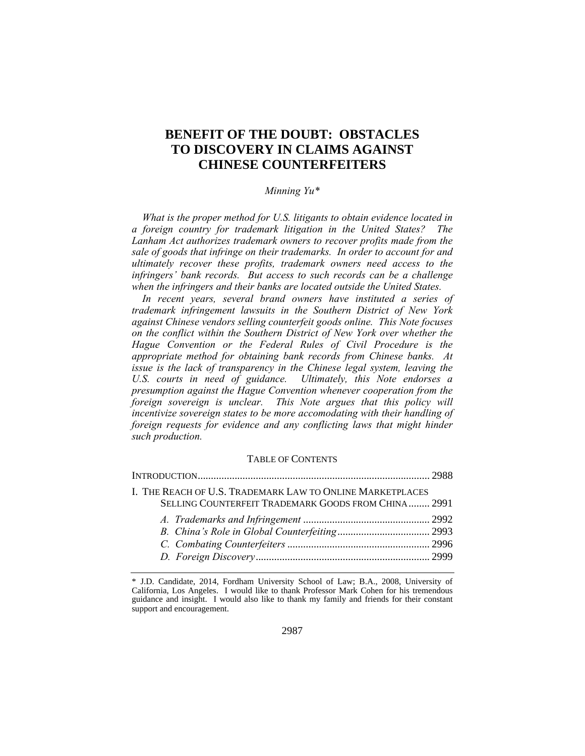# **BENEFIT OF THE DOUBT: OBSTACLES TO DISCOVERY IN CLAIMS AGAINST CHINESE COUNTERFEITERS**

## *Minning Yu\**

*What is the proper method for U.S. litigants to obtain evidence located in a foreign country for trademark litigation in the United States? The Lanham Act authorizes trademark owners to recover profits made from the sale of goods that infringe on their trademarks. In order to account for and ultimately recover these profits, trademark owners need access to the infringers' bank records. But access to such records can be a challenge when the infringers and their banks are located outside the United States.* 

*In recent years, several brand owners have instituted a series of trademark infringement lawsuits in the Southern District of New York against Chinese vendors selling counterfeit goods online. This Note focuses on the conflict within the Southern District of New York over whether the Hague Convention or the Federal Rules of Civil Procedure is the appropriate method for obtaining bank records from Chinese banks. At issue is the lack of transparency in the Chinese legal system, leaving the U.S. courts in need of guidance. Ultimately, this Note endorses a presumption against the Hague Convention whenever cooperation from the foreign sovereign is unclear. This Note argues that this policy will incentivize sovereign states to be more accomodating with their handling of foreign requests for evidence and any conflicting laws that might hinder such production.* 

#### TABLE OF CONTENTS

| I. THE REACH OF U.S. TRADEMARK LAW TO ONLINE MARKETPLACES |  |
|-----------------------------------------------------------|--|
| SELLING COUNTERFEIT TRADEMARK GOODS FROM CHINA 2991       |  |
|                                                           |  |
|                                                           |  |
|                                                           |  |
|                                                           |  |

<sup>\*</sup> J.D. Candidate, 2014, Fordham University School of Law; B.A., 2008, University of California, Los Angeles. I would like to thank Professor Mark Cohen for his tremendous guidance and insight. I would also like to thank my family and friends for their constant support and encouragement.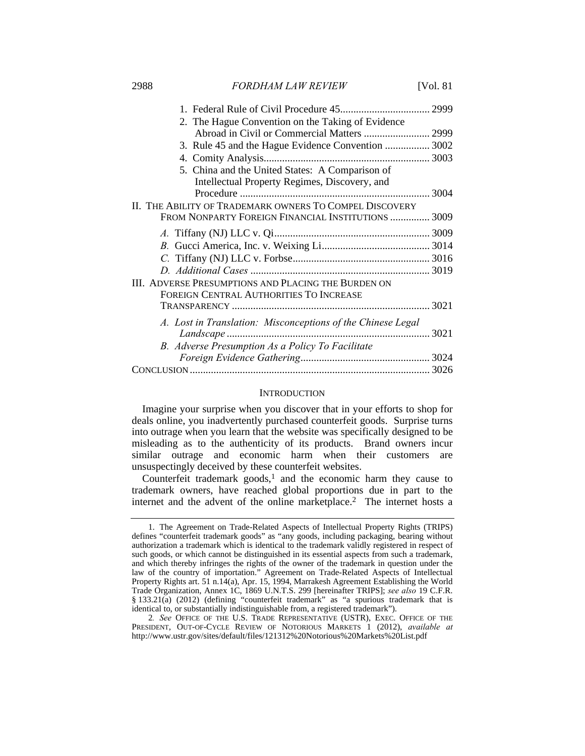2988 *FORDHAM LAW REVIEW* [Vol. 81

| 2. The Hague Convention on the Taking of Evidence<br>Abroad in Civil or Commercial Matters  2999 |  |
|--------------------------------------------------------------------------------------------------|--|
| 3. Rule 45 and the Hague Evidence Convention  3002                                               |  |
|                                                                                                  |  |
| 5. China and the United States: A Comparison of                                                  |  |
| Intellectual Property Regimes, Discovery, and                                                    |  |
|                                                                                                  |  |
| II. THE ABILITY OF TRADEMARK OWNERS TO COMPEL DISCOVERY                                          |  |
| FROM NONPARTY FOREIGN FINANCIAL INSTITUTIONS  3009                                               |  |
|                                                                                                  |  |
|                                                                                                  |  |
|                                                                                                  |  |
|                                                                                                  |  |
| III. ADVERSE PRESUMPTIONS AND PLACING THE BURDEN ON                                              |  |
| FOREIGN CENTRAL AUTHORITIES TO INCREASE                                                          |  |
|                                                                                                  |  |
| A. Lost in Translation: Misconceptions of the Chinese Legal                                      |  |
|                                                                                                  |  |
| B. Adverse Presumption As a Policy To Facilitate                                                 |  |
|                                                                                                  |  |
|                                                                                                  |  |

#### **INTRODUCTION**

Imagine your surprise when you discover that in your efforts to shop for deals online, you inadvertently purchased counterfeit goods. Surprise turns into outrage when you learn that the website was specifically designed to be misleading as to the authenticity of its products. Brand owners incur similar outrage and economic harm when their customers are unsuspectingly deceived by these counterfeit websites.

Counterfeit trademark goods, $<sup>1</sup>$  and the economic harm they cause to</sup> trademark owners, have reached global proportions due in part to the internet and the advent of the online marketplace.2 The internet hosts a

 <sup>1.</sup> The Agreement on Trade-Related Aspects of Intellectual Property Rights (TRIPS) defines "counterfeit trademark goods" as "any goods, including packaging, bearing without authorization a trademark which is identical to the trademark validly registered in respect of such goods, or which cannot be distinguished in its essential aspects from such a trademark, and which thereby infringes the rights of the owner of the trademark in question under the law of the country of importation." Agreement on Trade-Related Aspects of Intellectual Property Rights art. 51 n.14(a), Apr. 15, 1994, Marrakesh Agreement Establishing the World Trade Organization, Annex 1C, 1869 U.N.T.S. 299 [hereinafter TRIPS]; *see also* 19 C.F.R. § 133.21(a) (2012) (defining "counterfeit trademark" as "a spurious trademark that is identical to, or substantially indistinguishable from, a registered trademark").

<sup>2</sup>*. See* OFFICE OF THE U.S. TRADE REPRESENTATIVE (USTR), EXEC. OFFICE OF THE PRESIDENT, OUT-OF-CYCLE REVIEW OF NOTORIOUS MARKETS 1 (2012), *available at* http://www.ustr.gov/sites/default/files/121312%20Notorious%20Markets%20List.pdf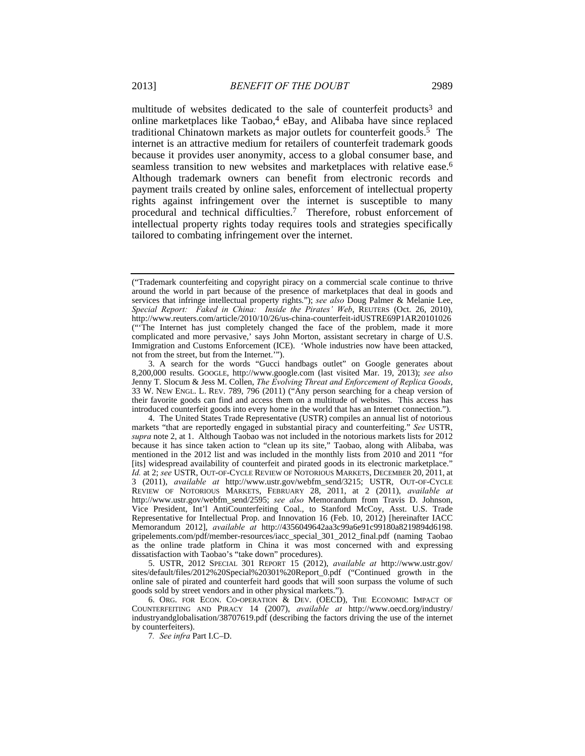multitude of websites dedicated to the sale of counterfeit products<sup>3</sup> and online marketplaces like  $Taobao<sup>4</sup>$  eBay, and Alibaba have since replaced traditional Chinatown markets as major outlets for counterfeit goods.<sup>5</sup> The internet is an attractive medium for retailers of counterfeit trademark goods because it provides user anonymity, access to a global consumer base, and seamless transition to new websites and marketplaces with relative ease.<sup>6</sup> Although trademark owners can benefit from electronic records and payment trails created by online sales, enforcement of intellectual property rights against infringement over the internet is susceptible to many procedural and technical difficulties.7 Therefore, robust enforcement of intellectual property rights today requires tools and strategies specifically tailored to combating infringement over the internet.

 5. USTR, 2012 SPECIAL 301 REPORT 15 (2012), *available at* http://www.ustr.gov/ sites/default/files/2012%20Special%20301%20Report\_0.pdf ("Continued growth in the online sale of pirated and counterfeit hard goods that will soon surpass the volume of such goods sold by street vendors and in other physical markets.").

 6. ORG. FOR ECON. CO-OPERATION & DEV. (OECD), THE ECONOMIC IMPACT OF COUNTERFEITING AND PIRACY 14 (2007), *available at* http://www.oecd.org/industry/ industryandglobalisation/38707619.pdf (describing the factors driving the use of the internet by counterfeiters).

7*. See infra* Part I.C–D.

<sup>(&</sup>quot;Trademark counterfeiting and copyright piracy on a commercial scale continue to thrive around the world in part because of the presence of marketplaces that deal in goods and services that infringe intellectual property rights."); *see also* Doug Palmer & Melanie Lee, *Special Report: Faked in China: Inside the Pirates' Web*, REUTERS (Oct. 26, 2010), http://www.reuters.com/article/2010/10/26/us-china-counterfeit-idUSTRE69P1AR20101026 ("'The Internet has just completely changed the face of the problem, made it more complicated and more pervasive,' says John Morton, assistant secretary in charge of U.S. Immigration and Customs Enforcement (ICE). 'Whole industries now have been attacked, not from the street, but from the Internet.'").

 <sup>3.</sup> A search for the words "Gucci handbags outlet" on Google generates about 8,200,000 results. GOOGLE, http://www.google.com (last visited Mar. 19, 2013); *see also*  Jenny T. Slocum & Jess M. Collen, *The Evolving Threat and Enforcement of Replica Goods*, 33 W. NEW ENGL. L. REV. 789, 796 (2011) ("Any person searching for a cheap version of their favorite goods can find and access them on a multitude of websites. This access has introduced counterfeit goods into every home in the world that has an Internet connection.").

 <sup>4.</sup> The United States Trade Representative (USTR) compiles an annual list of notorious markets "that are reportedly engaged in substantial piracy and counterfeiting." *See* USTR, *supra* note 2, at 1. Although Taobao was not included in the notorious markets lists for 2012 because it has since taken action to "clean up its site," Taobao, along with Alibaba, was mentioned in the 2012 list and was included in the monthly lists from 2010 and 2011 "for [its] widespread availability of counterfeit and pirated goods in its electronic marketplace." *Id.* at 2; *see* USTR, OUT-OF-CYCLE REVIEW OF NOTORIOUS MARKETS, DECEMBER 20, 2011, at 3 (2011), *available at* http://www.ustr.gov/webfm\_send/3215; USTR, OUT-OF-CYCLE REVIEW OF NOTORIOUS MARKETS, FEBRUARY 28, 2011, at 2 (2011), *available at* http://www.ustr.gov/webfm\_send/2595; *see also* Memorandum from Travis D. Johnson, Vice President, Int'l AntiCounterfeiting Coal., to Stanford McCoy, Asst. U.S. Trade Representative for Intellectual Prop. and Innovation 16 (Feb. 10, 2012) [hereinafter IACC Memorandum 2012], *available at* http://4356049642aa3c99a6e91c99180a8219894d6198. gripelements.com/pdf/member-resources/iacc\_special\_301\_2012\_final.pdf (naming Taobao as the online trade platform in China it was most concerned with and expressing dissatisfaction with Taobao's "take down" procedures).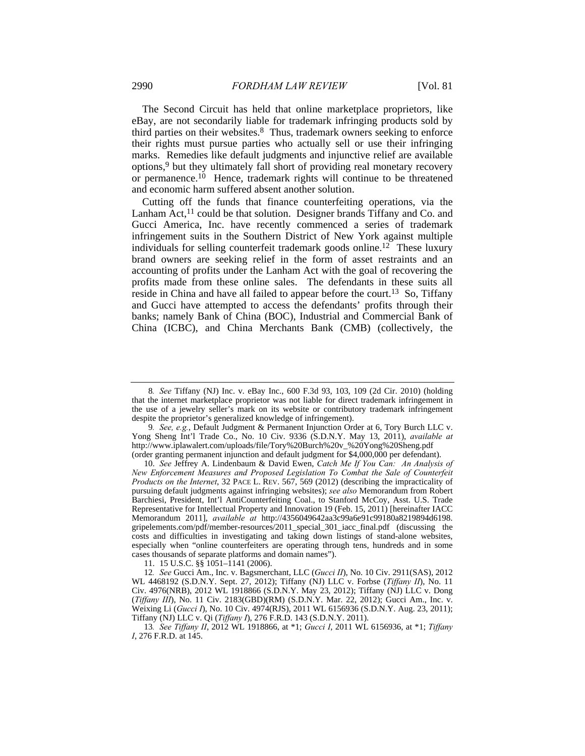The Second Circuit has held that online marketplace proprietors, like eBay, are not secondarily liable for trademark infringing products sold by third parties on their websites.8 Thus, trademark owners seeking to enforce their rights must pursue parties who actually sell or use their infringing marks. Remedies like default judgments and injunctive relief are available options,9 but they ultimately fall short of providing real monetary recovery or permanence.10 Hence, trademark rights will continue to be threatened and economic harm suffered absent another solution.

Cutting off the funds that finance counterfeiting operations, via the Lanham Act, $^{11}$  could be that solution. Designer brands Tiffany and Co. and Gucci America, Inc. have recently commenced a series of trademark infringement suits in the Southern District of New York against multiple individuals for selling counterfeit trademark goods online.<sup>12</sup> These luxury brand owners are seeking relief in the form of asset restraints and an accounting of profits under the Lanham Act with the goal of recovering the profits made from these online sales. The defendants in these suits all reside in China and have all failed to appear before the court.13 So, Tiffany and Gucci have attempted to access the defendants' profits through their banks; namely Bank of China (BOC), Industrial and Commercial Bank of China (ICBC), and China Merchants Bank (CMB) (collectively, the

11. 15 U.S.C. §§ 1051–1141 (2006).

<sup>8</sup>*. See* Tiffany (NJ) Inc. v. eBay Inc., 600 F.3d 93, 103, 109 (2d Cir. 2010) (holding that the internet marketplace proprietor was not liable for direct trademark infringement in the use of a jewelry seller's mark on its website or contributory trademark infringement despite the proprietor's generalized knowledge of infringement).

<sup>9</sup>*. See, e.g.*, Default Judgment & Permanent Injunction Order at 6, Tory Burch LLC v. Yong Sheng Int'l Trade Co., No. 10 Civ. 9336 (S.D.N.Y. May 13, 2011), *available at*  http://www.iplawalert.com/uploads/file/Tory%20Burch%20v\_%20Yong%20Sheng.pdf (order granting permanent injunction and default judgment for \$4,000,000 per defendant).

 <sup>10.</sup> *See* Jeffrey A. Lindenbaum & David Ewen, *Catch Me If You Can: An Analysis of New Enforcement Measures and Proposed Legislation To Combat the Sale of Counterfeit Products on the Internet*, 32 PACE L. REV. 567, 569 (2012) (describing the impracticality of pursuing default judgments against infringing websites); *see also* Memorandum from Robert Barchiesi, President, Int'l AntiCounterfeiting Coal., to Stanford McCoy, Asst. U.S. Trade Representative for Intellectual Property and Innovation 19 (Feb. 15, 2011) [hereinafter IACC Memorandum 2011], *available at* http://4356049642aa3c99a6e91c99180a8219894d6198. gripelements.com/pdf/member-resources/2011\_special\_301\_iacc\_final.pdf (discussing the costs and difficulties in investigating and taking down listings of stand-alone websites, especially when "online counterfeiters are operating through tens, hundreds and in some cases thousands of separate platforms and domain names").

<sup>12</sup>*. See* Gucci Am., Inc. v. Bagsmerchant, LLC (*Gucci II*), No. 10 Civ. 2911(SAS), 2012 WL 4468192 (S.D.N.Y. Sept. 27, 2012); Tiffany (NJ) LLC v. Forbse (*Tiffany II*), No. 11 Civ. 4976(NRB), 2012 WL 1918866 (S.D.N.Y. May 23, 2012); Tiffany (NJ) LLC v. Dong (*Tiffany III*), No. 11 Civ. 2183(GBD)(RM) (S.D.N.Y. Mar. 22, 2012); Gucci Am., Inc. v. Weixing Li (*Gucci I*), No. 10 Civ. 4974(RJS), 2011 WL 6156936 (S.D.N.Y. Aug. 23, 2011); Tiffany (NJ) LLC v. Qi (*Tiffany I*), 276 F.R.D. 143 (S.D.N.Y. 2011).

<sup>13</sup>*. See Tiffany II*, 2012 WL 1918866, at \*1; *Gucci I*, 2011 WL 6156936, at \*1; *Tiffany I*, 276 F.R.D. at 145.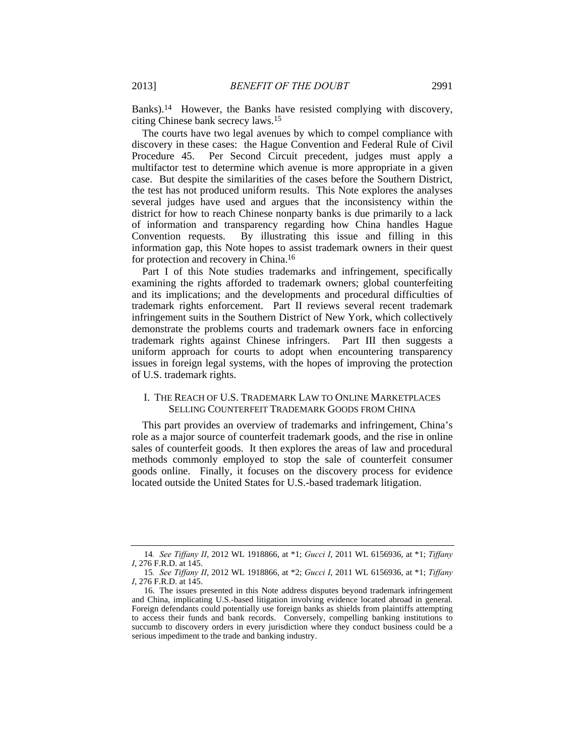Banks).14 However, the Banks have resisted complying with discovery, citing Chinese bank secrecy laws.15

The courts have two legal avenues by which to compel compliance with discovery in these cases: the Hague Convention and Federal Rule of Civil Procedure 45. Per Second Circuit precedent, judges must apply a multifactor test to determine which avenue is more appropriate in a given case. But despite the similarities of the cases before the Southern District, the test has not produced uniform results. This Note explores the analyses several judges have used and argues that the inconsistency within the district for how to reach Chinese nonparty banks is due primarily to a lack of information and transparency regarding how China handles Hague Convention requests. By illustrating this issue and filling in this information gap, this Note hopes to assist trademark owners in their quest for protection and recovery in China.16

Part I of this Note studies trademarks and infringement, specifically examining the rights afforded to trademark owners; global counterfeiting and its implications; and the developments and procedural difficulties of trademark rights enforcement. Part II reviews several recent trademark infringement suits in the Southern District of New York, which collectively demonstrate the problems courts and trademark owners face in enforcing trademark rights against Chinese infringers. Part III then suggests a uniform approach for courts to adopt when encountering transparency issues in foreign legal systems, with the hopes of improving the protection of U.S. trademark rights.

## I. THE REACH OF U.S. TRADEMARK LAW TO ONLINE MARKETPLACES SELLING COUNTERFEIT TRADEMARK GOODS FROM CHINA

This part provides an overview of trademarks and infringement, China's role as a major source of counterfeit trademark goods, and the rise in online sales of counterfeit goods. It then explores the areas of law and procedural methods commonly employed to stop the sale of counterfeit consumer goods online. Finally, it focuses on the discovery process for evidence located outside the United States for U.S.-based trademark litigation.

<sup>14</sup>*. See Tiffany II*, 2012 WL 1918866, at \*1; *Gucci I*, 2011 WL 6156936, at \*1; *Tiffany I*, 276 F.R.D. at 145.

<sup>15</sup>*. See Tiffany II*, 2012 WL 1918866, at \*2; *Gucci I*, 2011 WL 6156936, at \*1; *Tiffany I*, 276 F.R.D. at 145.

 <sup>16.</sup> The issues presented in this Note address disputes beyond trademark infringement and China, implicating U.S.-based litigation involving evidence located abroad in general. Foreign defendants could potentially use foreign banks as shields from plaintiffs attempting to access their funds and bank records. Conversely, compelling banking institutions to succumb to discovery orders in every jurisdiction where they conduct business could be a serious impediment to the trade and banking industry.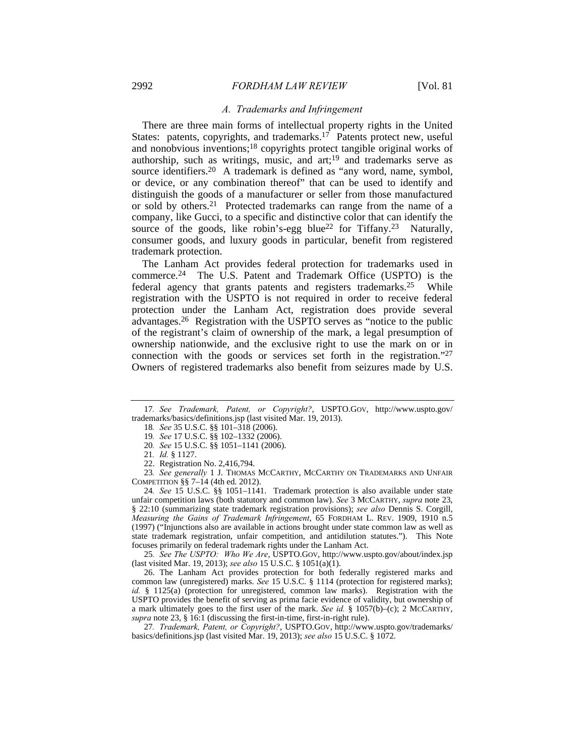## *A. Trademarks and Infringement*

There are three main forms of intellectual property rights in the United States: patents, copyrights, and trademarks.<sup>17</sup> Patents protect new, useful and nonobvious inventions;18 copyrights protect tangible original works of authorship, such as writings, music, and art;19 and trademarks serve as source identifiers.<sup>20</sup> A trademark is defined as "any word, name, symbol, or device, or any combination thereof" that can be used to identify and distinguish the goods of a manufacturer or seller from those manufactured or sold by others.21 Protected trademarks can range from the name of a company, like Gucci, to a specific and distinctive color that can identify the source of the goods, like robin's-egg blue<sup>22</sup> for Tiffany.<sup>23</sup> Naturally, consumer goods, and luxury goods in particular, benefit from registered trademark protection.

The Lanham Act provides federal protection for trademarks used in commerce.24 The U.S. Patent and Trademark Office (USPTO) is the federal agency that grants patents and registers trademarks.25 While registration with the USPTO is not required in order to receive federal protection under the Lanham Act, registration does provide several advantages.26 Registration with the USPTO serves as "notice to the public of the registrant's claim of ownership of the mark, a legal presumption of ownership nationwide, and the exclusive right to use the mark on or in connection with the goods or services set forth in the registration."27 Owners of registered trademarks also benefit from seizures made by U.S.

23*. See generally* 1 J. THOMAS MCCARTHY, MCCARTHY ON TRADEMARKS AND UNFAIR COMPETITION §§ 7–14 (4th ed. 2012).

24*. See* 15 U.S.C. §§ 1051–1141. Trademark protection is also available under state unfair competition laws (both statutory and common law). *See* 3 MCCARTHY, *supra* note 23, § 22:10 (summarizing state trademark registration provisions); *see also* Dennis S. Corgill, *Measuring the Gains of Trademark Infringement*, 65 FORDHAM L. REV. 1909, 1910 n.5 (1997) ("Injunctions also are available in actions brought under state common law as well as state trademark registration, unfair competition, and antidilution statutes."). This Note focuses primarily on federal trademark rights under the Lanham Act.

25*. See The USPTO: Who We Are*, USPTO.GOV, http://www.uspto.gov/about/index.jsp (last visited Mar. 19, 2013); *see also* 15 U.S.C. § 1051(a)(1).

 26. The Lanham Act provides protection for both federally registered marks and common law (unregistered) marks. *See* 15 U.S.C. § 1114 (protection for registered marks); *id.* § 1125(a) (protection for unregistered, common law marks). Registration with the USPTO provides the benefit of serving as prima facie evidence of validity, but ownership of a mark ultimately goes to the first user of the mark. *See id.* § 1057(b)–(c); 2 MCCARTHY, *supra* note 23, § 16:1 (discussing the first-in-time, first-in-right rule).

27*. Trademark, Patent, or Copyright?*, USPTO.GOV, http://www.uspto.gov/trademarks/ basics/definitions.jsp (last visited Mar. 19, 2013); *see also* 15 U.S.C. § 1072.

<sup>17</sup>*. See Trademark, Patent, or Copyright?*, USPTO.GOV, http://www.uspto.gov/ trademarks/basics/definitions.jsp (last visited Mar. 19, 2013).

<sup>18</sup>*. See* 35 U.S.C. §§ 101–318 (2006).

<sup>19</sup>*. See* 17 U.S.C. §§ 102–1332 (2006).

<sup>20</sup>*. See* 15 U.S.C. §§ 1051–1141 (2006).

<sup>21</sup>*. Id.* § 1127.

 <sup>22.</sup> Registration No. 2,416,794.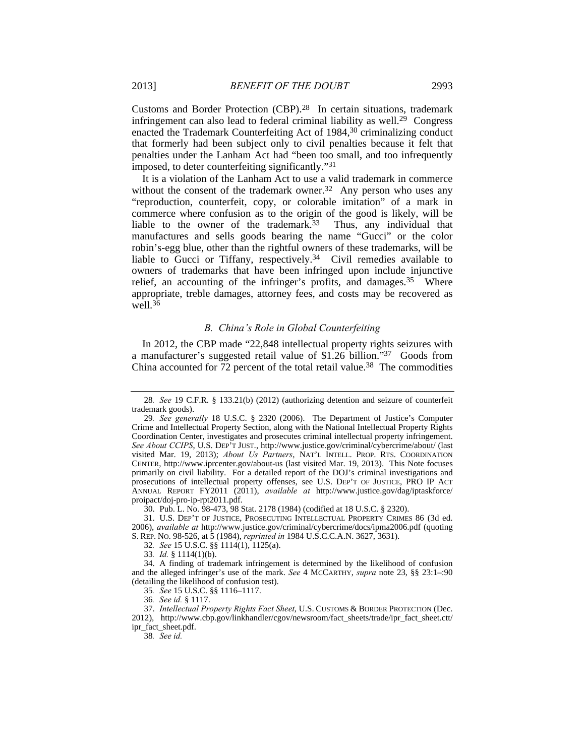Customs and Border Protection (CBP).28 In certain situations, trademark infringement can also lead to federal criminal liability as well.29 Congress enacted the Trademark Counterfeiting Act of 1984,30 criminalizing conduct that formerly had been subject only to civil penalties because it felt that penalties under the Lanham Act had "been too small, and too infrequently imposed, to deter counterfeiting significantly."31

It is a violation of the Lanham Act to use a valid trademark in commerce without the consent of the trademark owner.<sup>32</sup> Any person who uses any "reproduction, counterfeit, copy, or colorable imitation" of a mark in commerce where confusion as to the origin of the good is likely, will be liable to the owner of the trademark.33 Thus, any individual that manufactures and sells goods bearing the name "Gucci" or the color robin's-egg blue, other than the rightful owners of these trademarks, will be liable to Gucci or Tiffany, respectively.34 Civil remedies available to owners of trademarks that have been infringed upon include injunctive relief, an accounting of the infringer's profits, and damages.<sup>35</sup> Where appropriate, treble damages, attorney fees, and costs may be recovered as well.<sup>36</sup>

## *B. China's Role in Global Counterfeiting*

In 2012, the CBP made "22,848 intellectual property rights seizures with a manufacturer's suggested retail value of \$1.26 billion."37 Goods from China accounted for  $72$  percent of the total retail value.<sup>38</sup> The commodities

30. Pub. L. No. 98-473, 98 Stat. 2178 (1984) (codified at 18 U.S.C. § 2320).

 31. U.S. DEP'T OF JUSTICE, PROSECUTING INTELLECTUAL PROPERTY CRIMES 86 (3d ed. 2006), *available at* http://www.justice.gov/criminal/cybercrime/docs/ipma2006.pdf (quoting S. REP. NO. 98-526, at 5 (1984), *reprinted in* 1984 U.S.C.C.A.N. 3627, 3631).

32*. See* 15 U.S.C. §§ 1114(1), 1125(a).

33*. Id.* § 1114(1)(b).

 34. A finding of trademark infringement is determined by the likelihood of confusion and the alleged infringer's use of the mark. *See* 4 MCCARTHY, *supra* note 23, §§ 23:1–:90 (detailing the likelihood of confusion test).

35*. See* 15 U.S.C. §§ 1116–1117.

37. *Intellectual Property Rights Fact Sheet*, U.S. CUSTOMS & BORDER PROTECTION (Dec.

2012), http://www.cbp.gov/linkhandler/cgov/newsroom/fact\_sheets/trade/ipr\_fact\_sheet.ctt/ ipr\_fact\_sheet.pdf.

38*. See id.*

<sup>28</sup>*. See* 19 C.F.R. § 133.21(b) (2012) (authorizing detention and seizure of counterfeit trademark goods).

<sup>29</sup>*. See generally* 18 U.S.C. § 2320 (2006). The Department of Justice's Computer Crime and Intellectual Property Section, along with the National Intellectual Property Rights Coordination Center, investigates and prosecutes criminal intellectual property infringement. *See About CCIPS*, U.S. DEP'T JUST., http://www.justice.gov/criminal/cybercrime/about/ (last visited Mar. 19, 2013); *About Us Partners*, NAT'L INTELL. PROP. RTS. COORDINATION CENTER, http://www.iprcenter.gov/about-us (last visited Mar. 19, 2013). This Note focuses primarily on civil liability. For a detailed report of the DOJ's criminal investigations and prosecutions of intellectual property offenses, see U.S. DEP'T OF JUSTICE, PRO IP ACT ANNUAL REPORT FY2011 (2011), *available at* http://www.justice.gov/dag/iptaskforce/ proipact/doj-pro-ip-rpt2011.pdf.

<sup>36</sup>*. See id.* § 1117.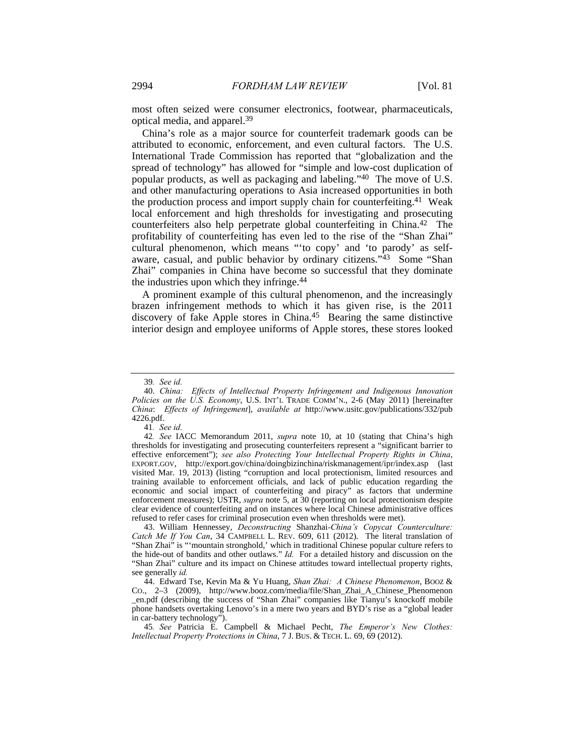most often seized were consumer electronics, footwear, pharmaceuticals, optical media, and apparel.39

China's role as a major source for counterfeit trademark goods can be attributed to economic, enforcement, and even cultural factors. The U.S. International Trade Commission has reported that "globalization and the spread of technology" has allowed for "simple and low-cost duplication of popular products, as well as packaging and labeling."40 The move of U.S. and other manufacturing operations to Asia increased opportunities in both the production process and import supply chain for counterfeiting.<sup>41</sup> Weak local enforcement and high thresholds for investigating and prosecuting counterfeiters also help perpetrate global counterfeiting in China.42 The profitability of counterfeiting has even led to the rise of the "Shan Zhai" cultural phenomenon, which means "'to copy' and 'to parody' as selfaware, casual, and public behavior by ordinary citizens."<sup>43</sup> Some "Shan Zhai" companies in China have become so successful that they dominate the industries upon which they infringe.<sup>44</sup>

A prominent example of this cultural phenomenon, and the increasingly brazen infringement methods to which it has given rise, is the 2011 discovery of fake Apple stores in China.45 Bearing the same distinctive interior design and employee uniforms of Apple stores, these stores looked

<sup>39</sup>*. See id.*

 <sup>40.</sup> *China: Effects of Intellectual Property Infringement and Indigenous Innovation Policies on the U.S. Economy*, U.S. INT'L TRADE COMM'N., 2-6 (May 2011) [hereinafter *China*: *Effects of Infringement*], *available at* http://www.usitc.gov/publications/332/pub 4226.pdf.

<sup>41</sup>*. See id.*

<sup>42</sup>*. See* IACC Memorandum 2011, *supra* note 10, at 10 (stating that China's high thresholds for investigating and prosecuting counterfeiters represent a "significant barrier to effective enforcement"); *see also Protecting Your Intellectual Property Rights in China*, EXPORT.GOV, http://export.gov/china/doingbizinchina/riskmanagement/ipr/index.asp (last visited Mar. 19, 2013) (listing "corruption and local protectionism, limited resources and training available to enforcement officials, and lack of public education regarding the economic and social impact of counterfeiting and piracy" as factors that undermine enforcement measures); USTR, *supra* note 5, at 30 (reporting on local protectionism despite clear evidence of counterfeiting and on instances where local Chinese administrative offices refused to refer cases for criminal prosecution even when thresholds were met).

 <sup>43.</sup> William Hennessey, *Deconstructing* Shanzhai*-China's Copycat Counterculture: Catch Me If You Can*, 34 CAMPBELL L. REV. 609, 611 (2012). The literal translation of "Shan Zhai" is "'mountain stronghold,' which in traditional Chinese popular culture refers to the hide-out of bandits and other outlaws." *Id.* For a detailed history and discussion on the "Shan Zhai" culture and its impact on Chinese attitudes toward intellectual property rights, see generally *id.*

 <sup>44.</sup> Edward Tse, Kevin Ma & Yu Huang, *Shan Zhai: A Chinese Phenomenon*, BOOZ & CO., 2–3 (2009), http://www.booz.com/media/file/Shan\_Zhai\_A\_Chinese\_Phenomenon \_en.pdf (describing the success of "Shan Zhai" companies like Tianyu's knockoff mobile phone handsets overtaking Lenovo's in a mere two years and BYD's rise as a "global leader in car-battery technology").

<sup>45</sup>*. See* Patricia E. Campbell & Michael Pecht, *The Emperor's New Clothes: Intellectual Property Protections in China*, 7 J. BUS. & TECH. L. 69, 69 (2012).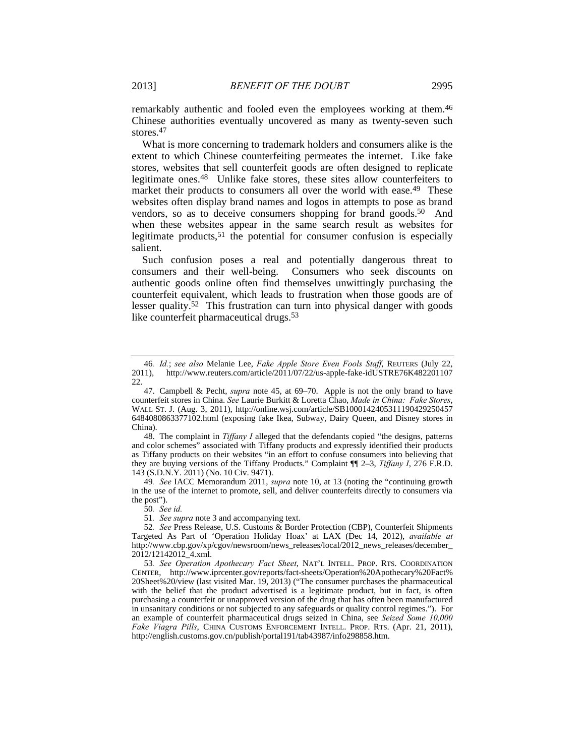remarkably authentic and fooled even the employees working at them.46 Chinese authorities eventually uncovered as many as twenty-seven such stores.47

What is more concerning to trademark holders and consumers alike is the extent to which Chinese counterfeiting permeates the internet. Like fake stores, websites that sell counterfeit goods are often designed to replicate legitimate ones.48 Unlike fake stores, these sites allow counterfeiters to market their products to consumers all over the world with ease.<sup>49</sup> These websites often display brand names and logos in attempts to pose as brand vendors, so as to deceive consumers shopping for brand goods.<sup>50</sup> And when these websites appear in the same search result as websites for legitimate products,<sup>51</sup> the potential for consumer confusion is especially salient.

Such confusion poses a real and potentially dangerous threat to consumers and their well-being. Consumers who seek discounts on authentic goods online often find themselves unwittingly purchasing the counterfeit equivalent, which leads to frustration when those goods are of lesser quality.52 This frustration can turn into physical danger with goods like counterfeit pharmaceutical drugs.<sup>53</sup>

 48. The complaint in *Tiffany I* alleged that the defendants copied "the designs, patterns and color schemes" associated with Tiffany products and expressly identified their products as Tiffany products on their websites "in an effort to confuse consumers into believing that they are buying versions of the Tiffany Products." Complaint ¶¶ 2–3, *Tiffany I*, 276 F.R.D. 143 (S.D.N.Y. 2011) (No. 10 Civ. 9471).

49*. See* IACC Memorandum 2011, *supra* note 10, at 13 (noting the "continuing growth in the use of the internet to promote, sell, and deliver counterfeits directly to consumers via the post").

50*. See id.*

51*. See supra* note 3 and accompanying text.

53*. See Operation Apothecary Fact Sheet*, NAT'L INTELL. PROP. RTS. COORDINATION CENTER, http://www.iprcenter.gov/reports/fact-sheets/Operation%20Apothecary%20Fact% 20Sheet%20/view (last visited Mar. 19, 2013) ("The consumer purchases the pharmaceutical with the belief that the product advertised is a legitimate product, but in fact, is often purchasing a counterfeit or unapproved version of the drug that has often been manufactured in unsanitary conditions or not subjected to any safeguards or quality control regimes."). For an example of counterfeit pharmaceutical drugs seized in China, see *Seized Some 10,000 Fake Viagra Pills*, CHINA CUSTOMS ENFORCEMENT INTELL. PROP. RTS. (Apr. 21, 2011), http://english.customs.gov.cn/publish/portal191/tab43987/info298858.htm.

<sup>46</sup>*. Id.*; *see also* Melanie Lee, *Fake Apple Store Even Fools Staff*, REUTERS (July 22, 2011), http://www.reuters.com/article/2011/07/22/us-apple-fake-idUSTRE76K482201107 22.

 <sup>47.</sup> Campbell & Pecht, *supra* note 45, at 69–70. Apple is not the only brand to have counterfeit stores in China. *See* Laurie Burkitt & Loretta Chao, *Made in China: Fake Stores*, WALL ST. J. (Aug. 3, 2011), http://online.wsj.com/article/SB1000142405311190429250457 6484080863377102.html (exposing fake Ikea, Subway, Dairy Queen, and Disney stores in China).

<sup>52</sup>*. See* Press Release, U.S. Customs & Border Protection (CBP), Counterfeit Shipments Targeted As Part of 'Operation Holiday Hoax' at LAX (Dec 14, 2012), *available at* http://www.cbp.gov/xp/cgov/newsroom/news\_releases/local/2012\_news\_releases/december\_ 2012/12142012\_4.xml.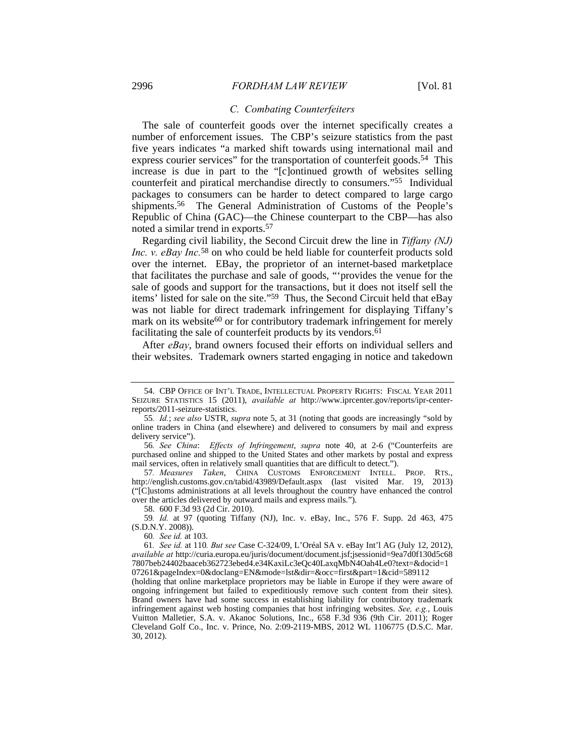#### *C. Combating Counterfeiters*

The sale of counterfeit goods over the internet specifically creates a number of enforcement issues. The CBP's seizure statistics from the past five years indicates "a marked shift towards using international mail and express courier services" for the transportation of counterfeit goods.<sup>54</sup> This increase is due in part to the "[c]ontinued growth of websites selling counterfeit and piratical merchandise directly to consumers."55 Individual packages to consumers can be harder to detect compared to large cargo shipments.56 The General Administration of Customs of the People's Republic of China (GAC)—the Chinese counterpart to the CBP—has also noted a similar trend in exports.57

Regarding civil liability, the Second Circuit drew the line in *Tiffany (NJ) Inc. v. eBay Inc.*<sup>58</sup> on who could be held liable for counterfeit products sold over the internet. EBay, the proprietor of an internet-based marketplace that facilitates the purchase and sale of goods, "'provides the venue for the sale of goods and support for the transactions, but it does not itself sell the items' listed for sale on the site."59 Thus, the Second Circuit held that eBay was not liable for direct trademark infringement for displaying Tiffany's mark on its website<sup>60</sup> or for contributory trademark infringement for merely facilitating the sale of counterfeit products by its vendors.<sup>61</sup>

After *eBay*, brand owners focused their efforts on individual sellers and their websites. Trademark owners started engaging in notice and takedown

57*. Measures Taken*, CHINA CUSTOMS ENFORCEMENT INTELL. PROP. RTS., http://english.customs.gov.cn/tabid/43989/Default.aspx (last visited Mar. 19, 2013) ("[C]ustoms administrations at all levels throughout the country have enhanced the control over the articles delivered by outward mails and express mails.").

58. 600 F.3d 93 (2d Cir. 2010).

59*. Id.* at 97 (quoting Tiffany (NJ), Inc. v. eBay, Inc., 576 F. Supp. 2d 463, 475 (S.D.N.Y. 2008)).

60*. See id.* at 103.

61*. See id.* at 110*. But see* Case C-324/09, L'Oréal SA v. eBay Int'l AG (July 12, 2012), *available at* http://curia.europa.eu/juris/document/document.jsf;jsessionid=9ea7d0f130d5c68 7807beb24402baaceb362723ebed4.e34KaxiLc3eQc40LaxqMbN4Oah4Le0?text=&docid=1 07261&pageIndex=0&doclang=EN&mode=lst&dir=&occ=first&part=1&cid=589112

(holding that online marketplace proprietors may be liable in Europe if they were aware of ongoing infringement but failed to expeditiously remove such content from their sites). Brand owners have had some success in establishing liability for contributory trademark infringement against web hosting companies that host infringing websites. *See, e.g.*, Louis Vuitton Malletier, S.A. v. Akanoc Solutions, Inc., 658 F.3d 936 (9th Cir. 2011); Roger Cleveland Golf Co., Inc. v. Prince, No. 2:09-2119-MBS, 2012 WL 1106775 (D.S.C. Mar. 30, 2012).

 <sup>54.</sup> CBP OFFICE OF INT'L TRADE, INTELLECTUAL PROPERTY RIGHTS: FISCAL YEAR 2011 SEIZURE STATISTICS 15 (2011), *available at* http://www.iprcenter.gov/reports/ipr-centerreports/2011-seizure-statistics.

<sup>55</sup>*. Id.*; *see also* USTR, *supra* note 5, at 31 (noting that goods are increasingly "sold by online traders in China (and elsewhere) and delivered to consumers by mail and express delivery service").

<sup>56</sup>*. See China*: *Effects of Infringement*, *supra* note 40, at 2-6 ("Counterfeits are purchased online and shipped to the United States and other markets by postal and express mail services, often in relatively small quantities that are difficult to detect.").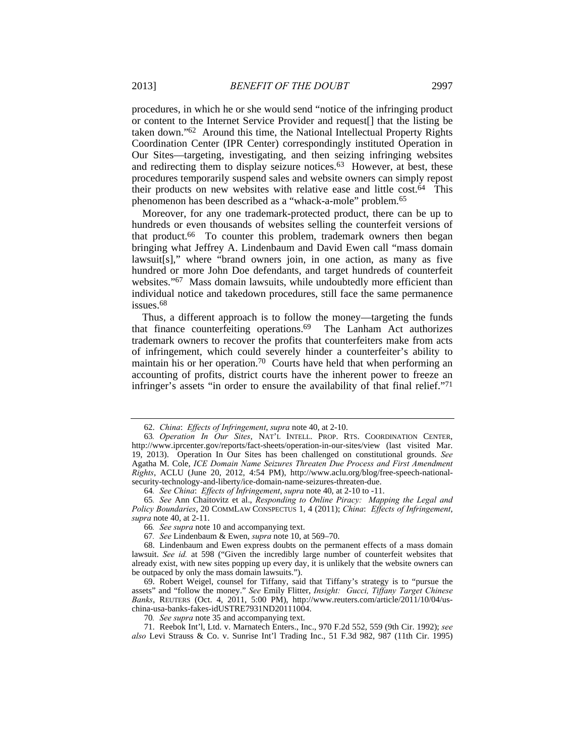procedures, in which he or she would send "notice of the infringing product or content to the Internet Service Provider and request[] that the listing be taken down."62 Around this time, the National Intellectual Property Rights Coordination Center (IPR Center) correspondingly instituted Operation in Our Sites—targeting, investigating, and then seizing infringing websites and redirecting them to display seizure notices.<sup>63</sup> However, at best, these procedures temporarily suspend sales and website owners can simply repost their products on new websites with relative ease and little cost.64 This phenomenon has been described as a "whack-a-mole" problem.65

Moreover, for any one trademark-protected product, there can be up to hundreds or even thousands of websites selling the counterfeit versions of that product.66 To counter this problem, trademark owners then began bringing what Jeffrey A. Lindenbaum and David Ewen call "mass domain lawsuit[s]," where "brand owners join, in one action, as many as five hundred or more John Doe defendants, and target hundreds of counterfeit websites."<sup>67</sup> Mass domain lawsuits, while undoubtedly more efficient than individual notice and takedown procedures, still face the same permanence issues.68

Thus, a different approach is to follow the money—targeting the funds that finance counterfeiting operations.69 The Lanham Act authorizes trademark owners to recover the profits that counterfeiters make from acts of infringement, which could severely hinder a counterfeiter's ability to maintain his or her operation.70 Courts have held that when performing an accounting of profits, district courts have the inherent power to freeze an infringer's assets "in order to ensure the availability of that final relief."71

70*. See supra* note 35 and accompanying text.

 71. Reebok Int'l, Ltd. v. Marnatech Enters., Inc., 970 F.2d 552, 559 (9th Cir. 1992); *see also* Levi Strauss & Co. v. Sunrise Int'l Trading Inc., 51 F.3d 982, 987 (11th Cir. 1995)

 <sup>62.</sup> *China*: *Effects of Infringement*, *supra* note 40, at 2-10.

<sup>63</sup>*. Operation In Our Sites*, NAT'L INTELL. PROP. RTS. COORDINATION CENTER, http://www.iprcenter.gov/reports/fact-sheets/operation-in-our-sites/view (last visited Mar. 19, 2013). Operation In Our Sites has been challenged on constitutional grounds. *See* Agatha M. Cole, *ICE Domain Name Seizures Threaten Due Process and First Amendment Rights*, ACLU (June 20, 2012, 4:54 PM), http://www.aclu.org/blog/free-speech-nationalsecurity-technology-and-liberty/ice-domain-name-seizures-threaten-due.

<sup>64</sup>*. See China*: *Effects of Infringement*, *supra* note 40, at 2-10 to -11.

<sup>65</sup>*. See* Ann Chaitovitz et al., *Responding to Online Piracy: Mapping the Legal and Policy Boundaries*, 20 COMMLAW CONSPECTUS 1, 4 (2011); *China*: *Effects of Infringement*, *supra* note 40, at 2-11.

<sup>66</sup>*. See supra* note 10 and accompanying text.

<sup>67</sup>*. See* Lindenbaum & Ewen, *supra* note 10, at 569–70.

 <sup>68.</sup> Lindenbaum and Ewen express doubts on the permanent effects of a mass domain lawsuit. *See id.* at 598 ("Given the incredibly large number of counterfeit websites that already exist, with new sites popping up every day, it is unlikely that the website owners can be outpaced by only the mass domain lawsuits.").

 <sup>69.</sup> Robert Weigel, counsel for Tiffany, said that Tiffany's strategy is to "pursue the assets" and "follow the money." *See* Emily Flitter, *Insight: Gucci, Tiffany Target Chinese Banks*, REUTERS (Oct. 4, 2011, 5:00 PM), http://www.reuters.com/article/2011/10/04/uschina-usa-banks-fakes-idUSTRE7931ND20111004.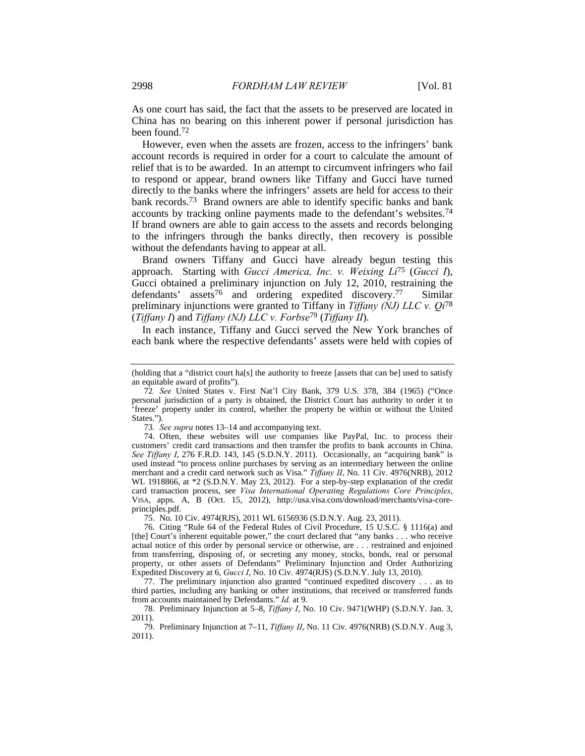As one court has said, the fact that the assets to be preserved are located in China has no bearing on this inherent power if personal jurisdiction has been found.72

However, even when the assets are frozen, access to the infringers' bank account records is required in order for a court to calculate the amount of relief that is to be awarded. In an attempt to circumvent infringers who fail to respond or appear, brand owners like Tiffany and Gucci have turned directly to the banks where the infringers' assets are held for access to their bank records.73 Brand owners are able to identify specific banks and bank accounts by tracking online payments made to the defendant's websites.74 If brand owners are able to gain access to the assets and records belonging to the infringers through the banks directly, then recovery is possible without the defendants having to appear at all.

Brand owners Tiffany and Gucci have already begun testing this approach. Starting with *Gucci America, Inc. v. Weixing Li*75 (*Gucci I*), Gucci obtained a preliminary injunction on July 12, 2010, restraining the defendants' assets<sup>76</sup> and ordering expedited discovery.<sup>77</sup> Similar preliminary injunctions were granted to Tiffany in *Tiffany (NJ) LLC v. Qi*<sup>78</sup> (*Tiffany I*) and *Tiffany (NJ) LLC v. Forbse*79 (*Tiffany II*).

In each instance, Tiffany and Gucci served the New York branches of each bank where the respective defendants' assets were held with copies of

73*. See supra* notes 13–14 and accompanying text.

 74. Often, these websites will use companies like PayPal, Inc. to process their customers' credit card transactions and then transfer the profits to bank accounts in China. *See Tiffany I*, 276 F.R.D. 143, 145 (S.D.N.Y. 2011). Occasionally, an "acquiring bank" is used instead "to process online purchases by serving as an intermediary between the online merchant and a credit card network such as Visa." *Tiffany II*, No. 11 Civ. 4976(NRB), 2012 WL 1918866, at \*2 (S.D.N.Y. May 23, 2012). For a step-by-step explanation of the credit card transaction process, see *Visa International Operating Regulations Core Principles*, VISA, apps. A, B (Oct. 15, 2012), http://usa.visa.com/download/merchants/visa-coreprinciples.pdf.

75. No. 10 Civ. 4974(RJS), 2011 WL 6156936 (S.D.N.Y. Aug. 23, 2011).

 76. Citing "Rule 64 of the Federal Rules of Civil Procedure, 15 U.S.C. § 1116(a) and [the] Court's inherent equitable power," the court declared that "any banks . . . who receive actual notice of this order by personal service or otherwise, are . . . restrained and enjoined from transferring, disposing of, or secreting any money, stocks, bonds, real or personal property, or other assets of Defendants" Preliminary Injunction and Order Authorizing Expedited Discovery at 6, *Gucci I*, No. 10 Civ. 4974(RJS) (S.D.N.Y. July 13, 2010).

 77. The preliminary injunction also granted "continued expedited discovery . . . as to third parties, including any banking or other institutions, that received or transferred funds from accounts maintained by Defendants." *Id.* at 9.

 78. Preliminary Injunction at 5–8, *Tiffany I*, No. 10 Civ. 9471(WHP) (S.D.N.Y. Jan. 3, 2011).

 79. Preliminary Injunction at 7–11, *Tiffany II*, No. 11 Civ. 4976(NRB) (S.D.N.Y. Aug 3, 2011).

<sup>(</sup>holding that a "district court ha[s] the authority to freeze [assets that can be] used to satisfy an equitable award of profits").

<sup>72</sup>*. See* United States v. First Nat'l City Bank, 379 U.S. 378, 384 (1965) ("Once personal jurisdiction of a party is obtained, the District Court has authority to order it to 'freeze' property under its control, whether the property be within or without the United States.").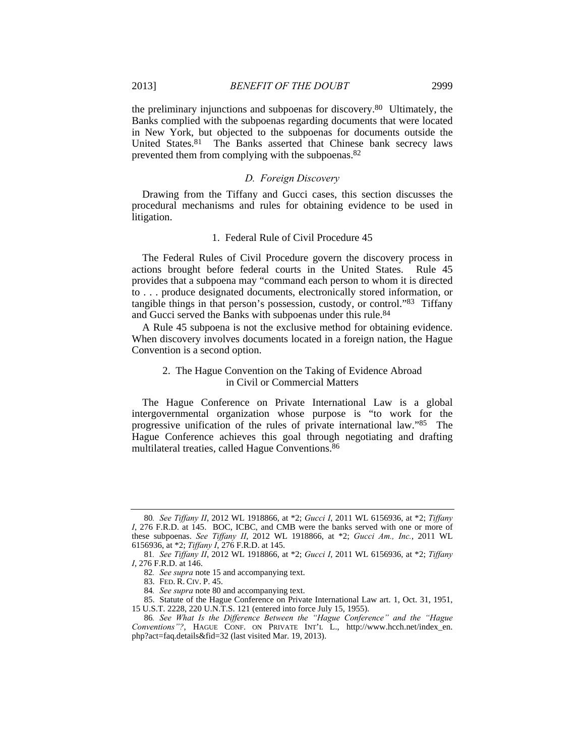the preliminary injunctions and subpoenas for discovery.80 Ultimately, the Banks complied with the subpoenas regarding documents that were located in New York, but objected to the subpoenas for documents outside the United States.81 The Banks asserted that Chinese bank secrecy laws prevented them from complying with the subpoenas.82

## *D. Foreign Discovery*

Drawing from the Tiffany and Gucci cases, this section discusses the procedural mechanisms and rules for obtaining evidence to be used in litigation.

## 1. Federal Rule of Civil Procedure 45

The Federal Rules of Civil Procedure govern the discovery process in actions brought before federal courts in the United States. Rule 45 provides that a subpoena may "command each person to whom it is directed to . . . produce designated documents, electronically stored information, or tangible things in that person's possession, custody, or control."83 Tiffany and Gucci served the Banks with subpoenas under this rule.<sup>84</sup>

A Rule 45 subpoena is not the exclusive method for obtaining evidence. When discovery involves documents located in a foreign nation, the Hague Convention is a second option.

## 2. The Hague Convention on the Taking of Evidence Abroad in Civil or Commercial Matters

The Hague Conference on Private International Law is a global intergovernmental organization whose purpose is "to work for the progressive unification of the rules of private international law."85 The Hague Conference achieves this goal through negotiating and drafting multilateral treaties, called Hague Conventions.86

<sup>80</sup>*. See Tiffany II*, 2012 WL 1918866, at \*2; *Gucci I*, 2011 WL 6156936, at \*2; *Tiffany I*, 276 F.R.D. at 145. BOC, ICBC, and CMB were the banks served with one or more of these subpoenas. *See Tiffany II*, 2012 WL 1918866, at \*2; *Gucci Am., Inc.*, 2011 WL 6156936, at \*2; *Tiffany I*, 276 F.R.D. at 145.

<sup>81</sup>*. See Tiffany II*, 2012 WL 1918866, at \*2; *Gucci I*, 2011 WL 6156936, at \*2; *Tiffany I*, 276 F.R.D. at 146.

<sup>82</sup>*. See supra* note 15 and accompanying text.

 <sup>83.</sup> FED. R. CIV. P. 45.

<sup>84</sup>*. See supra* note 80 and accompanying text.

 <sup>85.</sup> Statute of the Hague Conference on Private International Law art. 1, Oct. 31, 1951, 15 U.S.T. 2228, 220 U.N.T.S. 121 (entered into force July 15, 1955).

<sup>86</sup>*. See What Is the Difference Between the "Hague Conference" and the "Hague Conventions"?*, HAGUE CONF. ON PRIVATE INT'L L., http://www.hcch.net/index\_en. php?act=faq.details&fid=32 (last visited Mar. 19, 2013).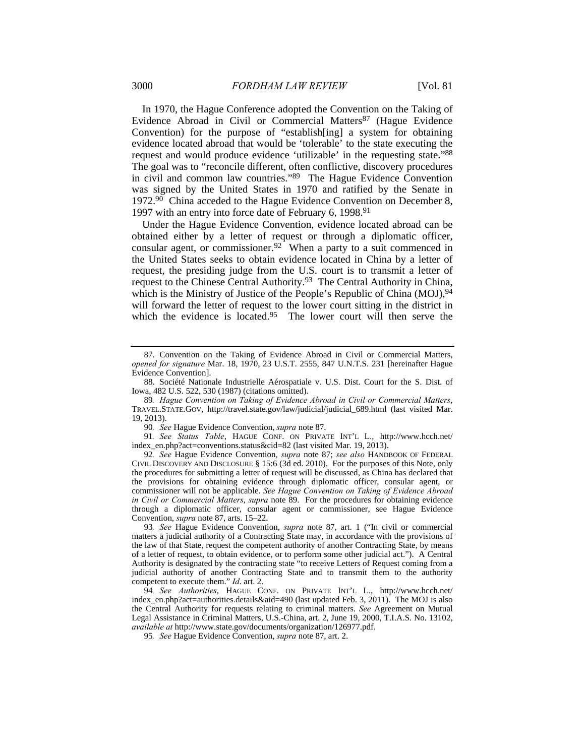In 1970, the Hague Conference adopted the Convention on the Taking of Evidence Abroad in Civil or Commercial Matters<sup>87</sup> (Hague Evidence Convention) for the purpose of "establish[ing] a system for obtaining evidence located abroad that would be 'tolerable' to the state executing the request and would produce evidence 'utilizable' in the requesting state."88 The goal was to "reconcile different, often conflictive, discovery procedures in civil and common law countries."89 The Hague Evidence Convention was signed by the United States in 1970 and ratified by the Senate in 1972.<sup>90</sup> China acceded to the Hague Evidence Convention on December 8, 1997 with an entry into force date of February 6, 1998.<sup>91</sup>

Under the Hague Evidence Convention, evidence located abroad can be obtained either by a letter of request or through a diplomatic officer, consular agent, or commissioner.<sup>92</sup> When a party to a suit commenced in the United States seeks to obtain evidence located in China by a letter of request, the presiding judge from the U.S. court is to transmit a letter of request to the Chinese Central Authority.93 The Central Authority in China, which is the Ministry of Justice of the People's Republic of China (MOJ), 94 will forward the letter of request to the lower court sitting in the district in which the evidence is located.<sup>95</sup> The lower court will then serve the

90*. See* Hague Evidence Convention, *supra* note 87.

91*. See Status Table*, HAGUE CONF. ON PRIVATE INT'L L., http://www.hcch.net/ index\_en.php?act=conventions.status&cid=82 (last visited Mar. 19, 2013).

92*. See* Hague Evidence Convention, *supra* note 87; *see also* HANDBOOK OF FEDERAL CIVIL DISCOVERY AND DISCLOSURE § 15:6 (3d ed. 2010). For the purposes of this Note, only the procedures for submitting a letter of request will be discussed, as China has declared that the provisions for obtaining evidence through diplomatic officer, consular agent, or commissioner will not be applicable. *See Hague Convention on Taking of Evidence Abroad in Civil or Commercial Matters*, *supra* note 89. For the procedures for obtaining evidence through a diplomatic officer, consular agent or commissioner, see Hague Evidence Convention, *supra* note 87, arts. 15–22.

94*. See Authorities*, HAGUE CONF. ON PRIVATE INT'L L., http://www.hcch.net/ index\_en.php?act=authorities.details&aid=490 (last updated Feb. 3, 2011). The MOJ is also the Central Authority for requests relating to criminal matters. *See* Agreement on Mutual Legal Assistance in Criminal Matters, U.S.-China, art. 2, June 19, 2000, T.I.A.S. No. 13102, *available at* http://www.state.gov/documents/organization/126977.pdf.

95*. See* Hague Evidence Convention, *supra* note 87, art. 2.

 <sup>87.</sup> Convention on the Taking of Evidence Abroad in Civil or Commercial Matters, *opened for signature* Mar. 18, 1970, 23 U.S.T. 2555, 847 U.N.T.S. 231 [hereinafter Hague Evidence Convention].

 <sup>88.</sup> Société Nationale Industrielle Aérospatiale v. U.S. Dist. Court for the S. Dist. of Iowa, 482 U.S. 522, 530 (1987) (citations omitted).

<sup>89</sup>*. Hague Convention on Taking of Evidence Abroad in Civil or Commercial Matters*, TRAVEL.STATE.GOV, http://travel.state.gov/law/judicial/judicial\_689.html (last visited Mar. 19, 2013).

<sup>93</sup>*. See* Hague Evidence Convention, *supra* note 87, art. 1 ("In civil or commercial matters a judicial authority of a Contracting State may, in accordance with the provisions of the law of that State, request the competent authority of another Contracting State, by means of a letter of request, to obtain evidence, or to perform some other judicial act."). A Central Authority is designated by the contracting state "to receive Letters of Request coming from a judicial authority of another Contracting State and to transmit them to the authority competent to execute them." *Id*. art. 2.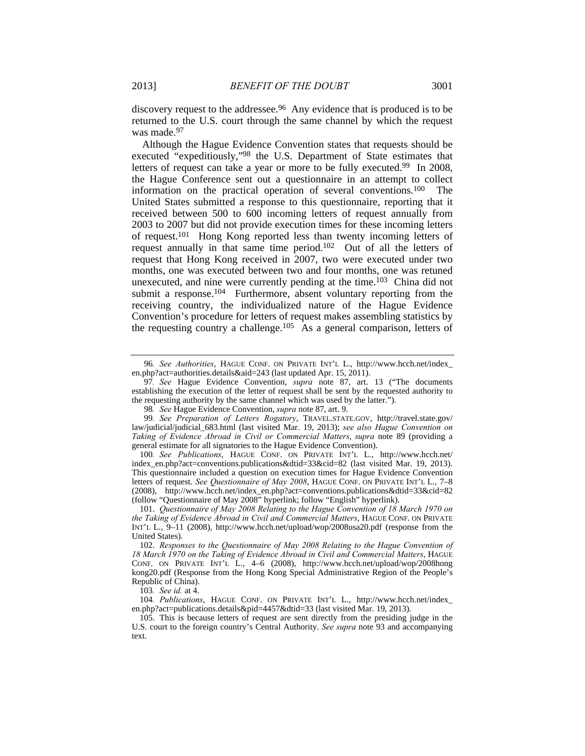discovery request to the addressee.<sup>96</sup> Any evidence that is produced is to be returned to the U.S. court through the same channel by which the request was made.<sup>97</sup>

Although the Hague Evidence Convention states that requests should be executed "expeditiously,"98 the U.S. Department of State estimates that letters of request can take a year or more to be fully executed.<sup>99</sup> In 2008, the Hague Conference sent out a questionnaire in an attempt to collect information on the practical operation of several conventions.100 The United States submitted a response to this questionnaire, reporting that it received between 500 to 600 incoming letters of request annually from 2003 to 2007 but did not provide execution times for these incoming letters of request.101 Hong Kong reported less than twenty incoming letters of request annually in that same time period.102 Out of all the letters of request that Hong Kong received in 2007, two were executed under two months, one was executed between two and four months, one was retuned unexecuted, and nine were currently pending at the time.<sup>103</sup> China did not submit a response.<sup>104</sup> Furthermore, absent voluntary reporting from the receiving country, the individualized nature of the Hague Evidence Convention's procedure for letters of request makes assembling statistics by the requesting country a challenge.<sup>105</sup> As a general comparison, letters of

103*. See id.* at 4.

<sup>96</sup>*. See Authorities*, HAGUE CONF. ON PRIVATE INT'L L., http://www.hcch.net/index\_ en.php?act=authorities.details&aid=243 (last updated Apr. 15, 2011).

<sup>97</sup>*. See* Hague Evidence Convention, *supra* note 87, art. 13 ("The documents establishing the execution of the letter of request shall be sent by the requested authority to the requesting authority by the same channel which was used by the latter.").

<sup>98</sup>*. See* Hague Evidence Convention, *supra* note 87, art. 9.

<sup>99</sup>*. See Preparation of Letters Rogatory*, TRAVEL.STATE.GOV, http://travel.state.gov/ law/judicial/judicial\_683.html (last visited Mar. 19, 2013); *see also Hague Convention on Taking of Evidence Abroad in Civil or Commercial Matters*, *supra* note 89 (providing a general estimate for all signatories to the Hague Evidence Convention).

<sup>100</sup>*. See Publications*, HAGUE CONF. ON PRIVATE INT'L L., http://www.hcch.net/ index\_en.php?act=conventions.publications&dtid=33&cid=82 (last visited Mar. 19, 2013). This questionnaire included a question on execution times for Hague Evidence Convention letters of request. *See Questionnaire of May 2008*, HAGUE CONF. ON PRIVATE INT'L L., 7–8 (2008), http://www.hcch.net/index\_en.php?act=conventions.publications&dtid=33&cid=82 (follow "Questionnaire of May 2008" hyperlink; follow "English" hyperlink).

 <sup>101.</sup> *Questionnaire of May 2008 Relating to the Hague Convention of 18 March 1970 on the Taking of Evidence Abroad in Civil and Commercial Matters*, HAGUE CONF. ON PRIVATE INT'L L., 9–11 (2008), http://www.hcch.net/upload/wop/2008usa20.pdf (response from the United States).

 <sup>102.</sup> *Responses to the Questionnaire of May 2008 Relating to the Hague Convention of 18 March 1970 on the Taking of Evidence Abroad in Civil and Commercial Matters*, HAGUE CONF. ON PRIVATE INT'L L., 4–6 (2008), http://www.hcch.net/upload/wop/2008hong kong20.pdf (Response from the Hong Kong Special Administrative Region of the People's Republic of China).

<sup>104</sup>*. Publications*, HAGUE CONF. ON PRIVATE INT'L L., http://www.hcch.net/index\_ en.php?act=publications.details&pid=4457&dtid=33 (last visited Mar. 19, 2013).

 <sup>105.</sup> This is because letters of request are sent directly from the presiding judge in the U.S. court to the foreign country's Central Authority. *See supra* note 93 and accompanying text.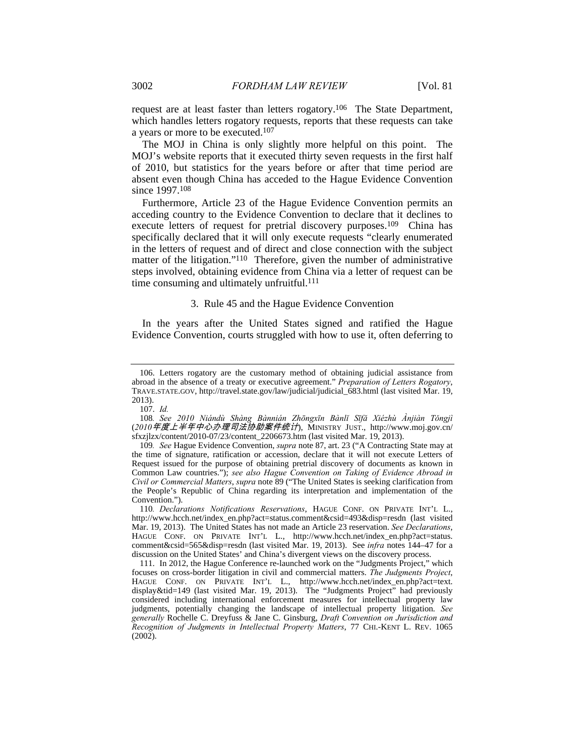request are at least faster than letters rogatory.106 The State Department, which handles letters rogatory requests, reports that these requests can take a years or more to be executed.107

The MOJ in China is only slightly more helpful on this point. The MOJ's website reports that it executed thirty seven requests in the first half of 2010, but statistics for the years before or after that time period are absent even though China has acceded to the Hague Evidence Convention since 1997.108

Furthermore, Article 23 of the Hague Evidence Convention permits an acceding country to the Evidence Convention to declare that it declines to execute letters of request for pretrial discovery purposes.<sup>109</sup> China has specifically declared that it will only execute requests "clearly enumerated in the letters of request and of direct and close connection with the subject matter of the litigation."<sup>110</sup> Therefore, given the number of administrative steps involved, obtaining evidence from China via a letter of request can be time consuming and ultimately unfruitful.<sup>111</sup>

#### 3. Rule 45 and the Hague Evidence Convention

In the years after the United States signed and ratified the Hague Evidence Convention, courts struggled with how to use it, often deferring to

 <sup>106.</sup> Letters rogatory are the customary method of obtaining judicial assistance from abroad in the absence of a treaty or executive agreement." *Preparation of Letters Rogatory*, TRAVE.STATE.GOV, http://travel.state.gov/law/judicial/judicial\_683.html (last visited Mar. 19, 2013).

 <sup>107.</sup> *Id.*

<sup>108</sup>*. See 2010 Niándù Shàng Bànnián Zhōngxīn Bànlǐ Sīfǎ Xiézhù Ànjiàn Tǒngjì* (*2010*年度上半年中心办理司法协助案件统计), MINISTRY JUST., http://www.moj.gov.cn/ sfxzjlzx/content/2010-07/23/content\_2206673.htm (last visited Mar. 19, 2013).

<sup>109</sup>*. See* Hague Evidence Convention, *supra* note 87, art. 23 ("A Contracting State may at the time of signature, ratification or accession, declare that it will not execute Letters of Request issued for the purpose of obtaining pretrial discovery of documents as known in Common Law countries."); *see also Hague Convention on Taking of Evidence Abroad in Civil or Commercial Matters*, *supra* note 89 ("The United States is seeking clarification from the People's Republic of China regarding its interpretation and implementation of the Convention.").

<sup>110</sup>*. Declarations Notifications Reservations*, HAGUE CONF. ON PRIVATE INT'L L., http://www.hcch.net/index\_en.php?act=status.comment&csid=493&disp=resdn (last visited Mar. 19, 2013). The United States has not made an Article 23 reservation. *See Declarations*, HAGUE CONF. ON PRIVATE INT'L L., http://www.hcch.net/index\_en.php?act=status. comment&csid=565&disp=resdn (last visited Mar. 19, 2013). See *infra* notes 144–47 for a discussion on the United States' and China's divergent views on the discovery process.

 <sup>111.</sup> In 2012, the Hague Conference re-launched work on the "Judgments Project," which focuses on cross-border litigation in civil and commercial matters. *The Judgments Project*, HAGUE CONF. ON PRIVATE INT'L L., http://www.hcch.net/index\_en.php?act=text. display&tid=149 (last visited Mar. 19, 2013). The "Judgments Project" had previously considered including international enforcement measures for intellectual property law judgments, potentially changing the landscape of intellectual property litigation. *See generally* Rochelle C. Dreyfuss & Jane C. Ginsburg, *Draft Convention on Jurisdiction and Recognition of Judgments in Intellectual Property Matters*, 77 CHI.-KENT L. REV. 1065 (2002).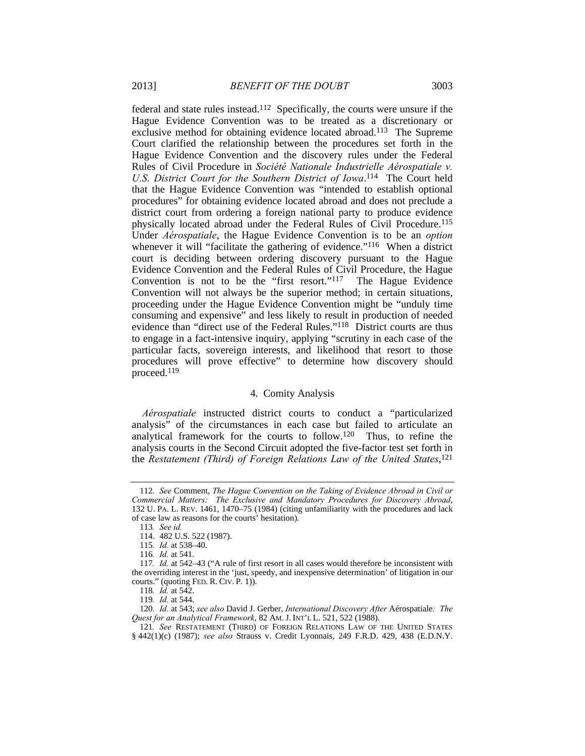federal and state rules instead.112 Specifically, the courts were unsure if the Hague Evidence Convention was to be treated as a discretionary or exclusive method for obtaining evidence located abroad.113 The Supreme Court clarified the relationship between the procedures set forth in the Hague Evidence Convention and the discovery rules under the Federal Rules of Civil Procedure in *Société Nationale Industrielle Aérospatiale v.*  U.S. District Court for the Southern District of Iowa.<sup>114</sup> The Court held that the Hague Evidence Convention was "intended to establish optional procedures" for obtaining evidence located abroad and does not preclude a district court from ordering a foreign national party to produce evidence physically located abroad under the Federal Rules of Civil Procedure.115 Under *Aérospatiale*, the Hague Evidence Convention is to be an *option* whenever it will "facilitate the gathering of evidence."<sup>116</sup> When a district court is deciding between ordering discovery pursuant to the Hague Evidence Convention and the Federal Rules of Civil Procedure, the Hague Convention is not to be the "first resort."117 The Hague Evidence Convention will not always be the superior method; in certain situations, proceeding under the Hague Evidence Convention might be "unduly time consuming and expensive" and less likely to result in production of needed evidence than "direct use of the Federal Rules."118 District courts are thus to engage in a fact-intensive inquiry, applying "scrutiny in each case of the particular facts, sovereign interests, and likelihood that resort to those procedures will prove effective" to determine how discovery should proceed.119

#### 4. Comity Analysis

*Aérospatiale* instructed district courts to conduct a "particularized analysis" of the circumstances in each case but failed to articulate an analytical framework for the courts to follow.120 Thus, to refine the analysis courts in the Second Circuit adopted the five-factor test set forth in the *Restatement (Third) of Foreign Relations Law of the United States*, 121

<sup>112</sup>*. See* Comment, *The Hague Convention on the Taking of Evidence Abroad in Civil or Commercial Matters: The Exclusive and Mandatory Procedures for Discovery Abroad*, 132 U. PA. L. REV. 1461, 1470–75 (1984) (citing unfamiliarity with the procedures and lack of case law as reasons for the courts' hesitation).

<sup>113</sup>*. See id.*

 <sup>114. 482</sup> U.S. 522 (1987).

<sup>115</sup>*. Id.* at 538–40.

<sup>116</sup>*. Id.* at 541.

<sup>117</sup>*. Id.* at 542–43 ("A rule of first resort in all cases would therefore be inconsistent with the overriding interest in the 'just, speedy, and inexpensive determination' of litigation in our courts." (quoting FED. R. CIV. P. 1)).

<sup>118</sup>*. Id.* at 542.

<sup>119</sup>*. Id.* at 544.

<sup>120</sup>*. Id.* at 543; *see also* David J. Gerber, *International Discovery After* Aérospatiale*: The Quest for an Analytical Framework*, 82 AM. J. INT'L L. 521, 522 (1988).

<sup>121</sup>*. See* RESTATEMENT (THIRD) OF FOREIGN RELATIONS LAW OF THE UNITED STATES § 442(1)(c) (1987); *see also* Strauss v. Credit Lyonnais, 249 F.R.D. 429, 438 (E.D.N.Y.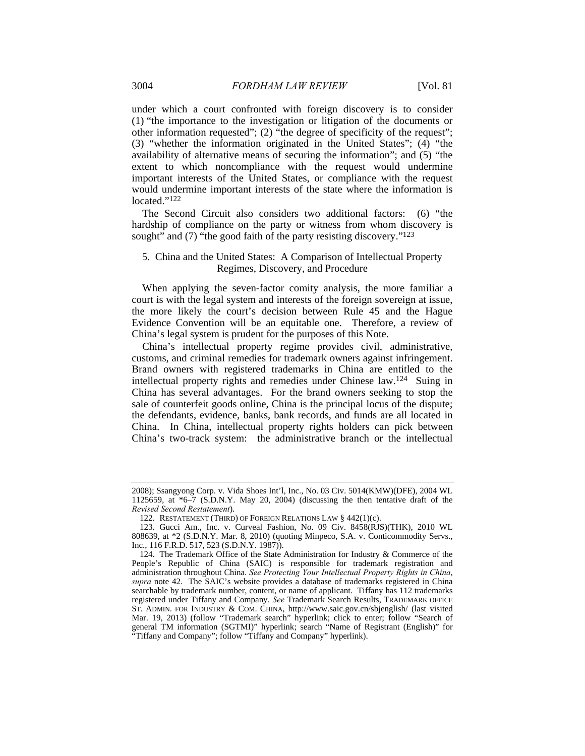under which a court confronted with foreign discovery is to consider (1) "the importance to the investigation or litigation of the documents or other information requested"; (2) "the degree of specificity of the request"; (3) "whether the information originated in the United States"; (4) "the availability of alternative means of securing the information"; and (5) "the extent to which noncompliance with the request would undermine important interests of the United States, or compliance with the request would undermine important interests of the state where the information is located."<sup>122</sup>

The Second Circuit also considers two additional factors: (6) "the hardship of compliance on the party or witness from whom discovery is sought" and (7) "the good faith of the party resisting discovery."<sup>123</sup>

# 5. China and the United States: A Comparison of Intellectual Property Regimes, Discovery, and Procedure

When applying the seven-factor comity analysis, the more familiar a court is with the legal system and interests of the foreign sovereign at issue, the more likely the court's decision between Rule 45 and the Hague Evidence Convention will be an equitable one. Therefore, a review of China's legal system is prudent for the purposes of this Note.

China's intellectual property regime provides civil, administrative, customs, and criminal remedies for trademark owners against infringement. Brand owners with registered trademarks in China are entitled to the intellectual property rights and remedies under Chinese law.124 Suing in China has several advantages. For the brand owners seeking to stop the sale of counterfeit goods online, China is the principal locus of the dispute; the defendants, evidence, banks, bank records, and funds are all located in China. In China, intellectual property rights holders can pick between China's two-track system: the administrative branch or the intellectual

<sup>2008);</sup> Ssangyong Corp. v. Vida Shoes Int'l, Inc., No. 03 Civ. 5014(KMW)(DFE), 2004 WL 1125659, at \*6–7 (S.D.N.Y. May 20, 2004) (discussing the then tentative draft of the *Revised Second Restatement*).

 <sup>122.</sup> RESTATEMENT (THIRD) OF FOREIGN RELATIONS LAW § 442(1)(c).

 <sup>123.</sup> Gucci Am., Inc. v. Curveal Fashion, No. 09 Civ. 8458(RJS)(THK), 2010 WL 808639, at \*2 (S.D.N.Y. Mar. 8, 2010) (quoting Minpeco, S.A. v. Conticommodity Servs., Inc., 116 F.R.D. 517, 523 (S.D.N.Y. 1987)).

 <sup>124.</sup> The Trademark Office of the State Administration for Industry & Commerce of the People's Republic of China (SAIC) is responsible for trademark registration and administration throughout China. *See Protecting Your Intellectual Property Rights in China*, *supra* note 42. The SAIC's website provides a database of trademarks registered in China searchable by trademark number, content, or name of applicant. Tiffany has 112 trademarks registered under Tiffany and Company. *See* Trademark Search Results, TRADEMARK OFFICE ST. ADMIN. FOR INDUSTRY & COM. CHINA, http://www.saic.gov.cn/sbjenglish/ (last visited Mar. 19, 2013) (follow "Trademark search" hyperlink; click to enter; follow "Search of general TM information (SGTMI)" hyperlink; search "Name of Registrant (English)" for "Tiffany and Company"; follow "Tiffany and Company" hyperlink).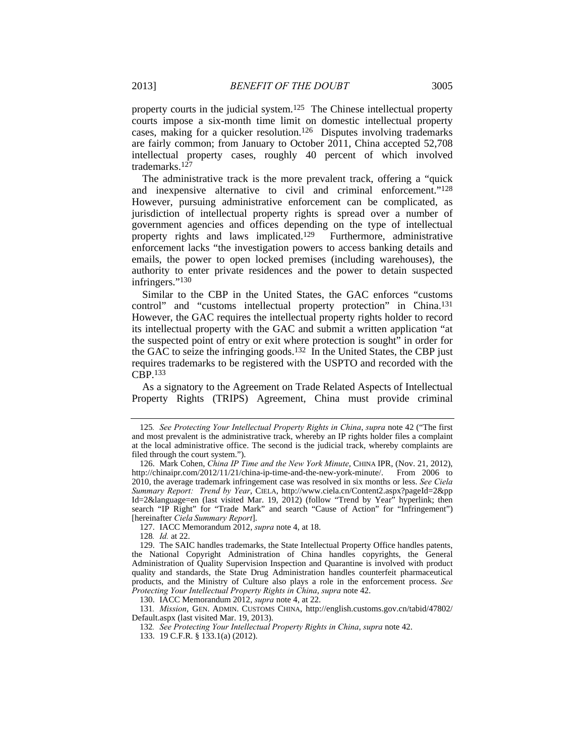property courts in the judicial system.125 The Chinese intellectual property courts impose a six-month time limit on domestic intellectual property cases, making for a quicker resolution.126 Disputes involving trademarks are fairly common; from January to October 2011, China accepted 52,708 intellectual property cases, roughly 40 percent of which involved trademarks.127

The administrative track is the more prevalent track, offering a "quick and inexpensive alternative to civil and criminal enforcement."128 However, pursuing administrative enforcement can be complicated, as jurisdiction of intellectual property rights is spread over a number of government agencies and offices depending on the type of intellectual property rights and laws implicated.129 Furthermore, administrative enforcement lacks "the investigation powers to access banking details and emails, the power to open locked premises (including warehouses), the authority to enter private residences and the power to detain suspected infringers."130

Similar to the CBP in the United States, the GAC enforces "customs control" and "customs intellectual property protection" in China.131 However, the GAC requires the intellectual property rights holder to record its intellectual property with the GAC and submit a written application "at the suspected point of entry or exit where protection is sought" in order for the GAC to seize the infringing goods.132 In the United States, the CBP just requires trademarks to be registered with the USPTO and recorded with the CBP.133

As a signatory to the Agreement on Trade Related Aspects of Intellectual Property Rights (TRIPS) Agreement, China must provide criminal

128*. Id.* at 22.

<sup>125</sup>*. See Protecting Your Intellectual Property Rights in China*, *supra* note 42 ("The first and most prevalent is the administrative track, whereby an IP rights holder files a complaint at the local administrative office. The second is the judicial track, whereby complaints are filed through the court system.").

 <sup>126.</sup> Mark Cohen, *China IP Time and the New York Minute*, CHINA IPR, (Nov. 21, 2012), http://chinaipr.com/2012/11/21/china-ip-time-and-the-new-york-minute/. From 2006 to 2010, the average trademark infringement case was resolved in six months or less. *See Ciela Summary Report: Trend by Year*, CIELA, http://www.ciela.cn/Content2.aspx?pageId=2&pp Id=2&language=en (last visited Mar. 19, 2012) (follow "Trend by Year" hyperlink; then search "IP Right" for "Trade Mark" and search "Cause of Action" for "Infringement") [hereinafter *Ciela Summary Report*].

 <sup>127.</sup> IACC Memorandum 2012, *supra* note 4, at 18.

 <sup>129.</sup> The SAIC handles trademarks, the State Intellectual Property Office handles patents, the National Copyright Administration of China handles copyrights, the General Administration of Quality Supervision Inspection and Quarantine is involved with product quality and standards, the State Drug Administration handles counterfeit pharmaceutical products, and the Ministry of Culture also plays a role in the enforcement process. *See Protecting Your Intellectual Property Rights in China*, *supra* note 42.

 <sup>130.</sup> IACC Memorandum 2012, *supra* note 4, at 22.

<sup>131</sup>*. Mission*, GEN. ADMIN. CUSTOMS CHINA, http://english.customs.gov.cn/tabid/47802/ Default.aspx (last visited Mar. 19, 2013).

<sup>132</sup>*. See Protecting Your Intellectual Property Rights in China*, *supra* note 42.

 <sup>133. 19</sup> C.F.R. § 133.1(a) (2012).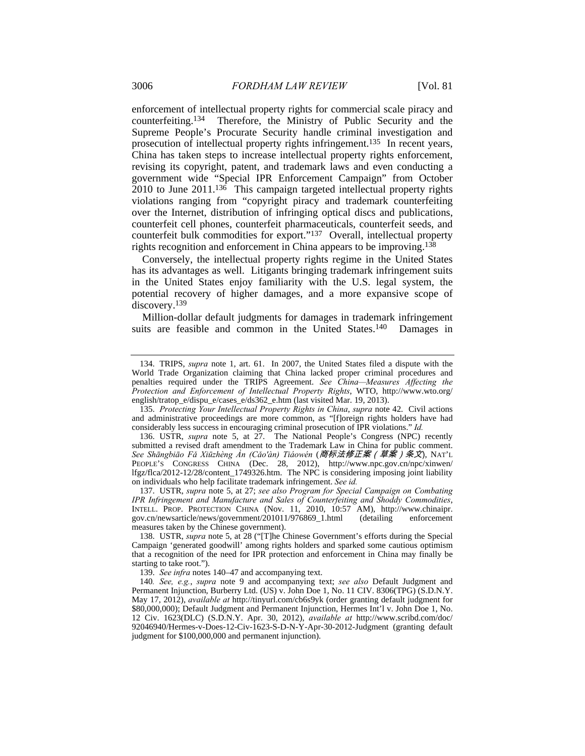enforcement of intellectual property rights for commercial scale piracy and counterfeiting.134 Therefore, the Ministry of Public Security and the Supreme People's Procurate Security handle criminal investigation and prosecution of intellectual property rights infringement.135 In recent years, China has taken steps to increase intellectual property rights enforcement, revising its copyright, patent, and trademark laws and even conducting a government wide "Special IPR Enforcement Campaign" from October 2010 to June 2011.136 This campaign targeted intellectual property rights violations ranging from "copyright piracy and trademark counterfeiting over the Internet, distribution of infringing optical discs and publications, counterfeit cell phones, counterfeit pharmaceuticals, counterfeit seeds, and counterfeit bulk commodities for export."137 Overall, intellectual property rights recognition and enforcement in China appears to be improving.138

Conversely, the intellectual property rights regime in the United States has its advantages as well. Litigants bringing trademark infringement suits in the United States enjoy familiarity with the U.S. legal system, the potential recovery of higher damages, and a more expansive scope of discovery.<sup>139</sup>

Million-dollar default judgments for damages in trademark infringement suits are feasible and common in the United States.<sup>140</sup> Damages in

 136. USTR, *supra* note 5, at 27. The National People's Congress (NPC) recently submitted a revised draft amendment to the Trademark Law in China for public comment. *See Shāngbiāo Fǎ Xiūzhèng Àn (Cǎo'àn) Tiáowén* (商标法修正案(草案)条文), NAT'L PEOPLE'S CONGRESS CHINA (Dec. 28, 2012), http://www.npc.gov.cn/npc/xinwen/ lfgz/flca/2012-12/28/content\_1749326.htm. The NPC is considering imposing joint liability on individuals who help facilitate trademark infringement. *See id.*

 137. USTR, *supra* note 5, at 27; *see also Program for Special Campaign on Combating IPR Infringement and Manufacture and Sales of Counterfeiting and Shoddy Commodities*, INTELL. PROP. PROTECTION CHINA (Nov. 11, 2010, 10:57 AM), http://www.chinaipr. gov.cn/newsarticle/news/government/201011/976869\_1.html (detailing enforcement measures taken by the Chinese government).

 138. USTR, *supra* note 5, at 28 ("[T]he Chinese Government's efforts during the Special Campaign 'generated goodwill' among rights holders and sparked some cautious optimism that a recognition of the need for IPR protection and enforcement in China may finally be starting to take root.").

139. *See infra* notes 140–47 and accompanying text.

140*. See, e.g.*, *supra* note 9 and accompanying text; *see also* Default Judgment and Permanent Injunction, Burberry Ltd. (US) v. John Doe 1, No. 11 CIV. 8306(TPG) (S.D.N.Y. May 17, 2012), *available at* http://tinyurl.com/cb6s9yk (order granting default judgment for \$80,000,000); Default Judgment and Permanent Injunction, Hermes Int'l v. John Doe 1, No. 12 Civ. 1623(DLC) (S.D.N.Y. Apr. 30, 2012), *available at* http://www.scribd.com/doc/ 92046940/Hermes-v-Does-12-Civ-1623-S-D-N-Y-Apr-30-2012-Judgment (granting default judgment for \$100,000,000 and permanent injunction).

 <sup>134.</sup> TRIPS, *supra* note 1, art. 61. In 2007, the United States filed a dispute with the World Trade Organization claiming that China lacked proper criminal procedures and penalties required under the TRIPS Agreement. *See China—Measures Affecting the Protection and Enforcement of Intellectual Property Rights*, WTO, http://www.wto.org/ english/tratop\_e/dispu\_e/cases\_e/ds362\_e.htm (last visited Mar. 19, 2013).

 <sup>135.</sup> *Protecting Your Intellectual Property Rights in China*, *supra* note 42. Civil actions and administrative proceedings are more common, as "[f]oreign rights holders have had considerably less success in encouraging criminal prosecution of IPR violations." *Id.*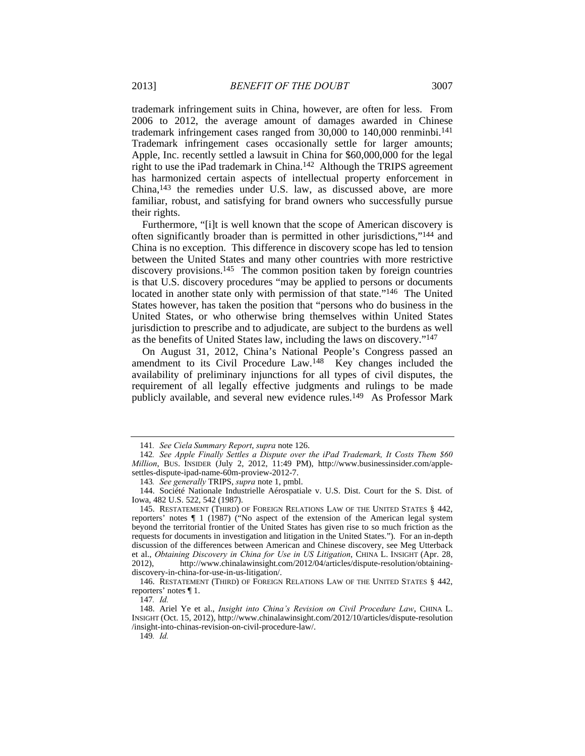trademark infringement suits in China, however, are often for less. From 2006 to 2012, the average amount of damages awarded in Chinese trademark infringement cases ranged from 30,000 to 140,000 renminbi.<sup>141</sup> Trademark infringement cases occasionally settle for larger amounts; Apple, Inc. recently settled a lawsuit in China for \$60,000,000 for the legal right to use the iPad trademark in China.142 Although the TRIPS agreement has harmonized certain aspects of intellectual property enforcement in China,143 the remedies under U.S. law, as discussed above, are more familiar, robust, and satisfying for brand owners who successfully pursue their rights.

Furthermore, "[i]t is well known that the scope of American discovery is often significantly broader than is permitted in other jurisdictions,"144 and China is no exception. This difference in discovery scope has led to tension between the United States and many other countries with more restrictive discovery provisions.145 The common position taken by foreign countries is that U.S. discovery procedures "may be applied to persons or documents located in another state only with permission of that state."146 The United States however, has taken the position that "persons who do business in the United States, or who otherwise bring themselves within United States jurisdiction to prescribe and to adjudicate, are subject to the burdens as well as the benefits of United States law, including the laws on discovery."147

On August 31, 2012, China's National People's Congress passed an amendment to its Civil Procedure Law.<sup>148</sup> Key changes included the availability of preliminary injunctions for all types of civil disputes, the requirement of all legally effective judgments and rulings to be made publicly available, and several new evidence rules.149 As Professor Mark

143*. See generally* TRIPS, *supra* note 1, pmbl.

149*. Id.*

<sup>141</sup>*. See Ciela Summary Report*, *supra* note 126.

<sup>142</sup>*. See Apple Finally Settles a Dispute over the iPad Trademark, It Costs Them \$60 Million*, BUS. INSIDER (July 2, 2012, 11:49 PM), http://www.businessinsider.com/applesettles-dispute-ipad-name-60m-proview-2012-7.

 <sup>144.</sup> Société Nationale Industrielle Aérospatiale v. U.S. Dist. Court for the S. Dist. of Iowa, 482 U.S. 522, 542 (1987).

 <sup>145.</sup> RESTATEMENT (THIRD) OF FOREIGN RELATIONS LAW OF THE UNITED STATES § 442, reporters' notes ¶ 1 (1987) ("No aspect of the extension of the American legal system beyond the territorial frontier of the United States has given rise to so much friction as the requests for documents in investigation and litigation in the United States."). For an in-depth discussion of the differences between American and Chinese discovery, see Meg Utterback et al., *Obtaining Discovery in China for Use in US Litigation*, CHINA L. INSIGHT (Apr. 28, 2012), http://www.chinalawinsight.com/2012/04/articles/dispute-resolution/obtainingdiscovery-in-china-for-use-in-us-litigation/.

 <sup>146.</sup> RESTATEMENT (THIRD) OF FOREIGN RELATIONS LAW OF THE UNITED STATES § 442, reporters' notes ¶ 1.

<sup>147</sup>*. Id.*

 <sup>148.</sup> Ariel Ye et al., *Insight into China's Revision on Civil Procedure Law*, CHINA L. INSIGHT (Oct. 15, 2012), http://www.chinalawinsight.com/2012/10/articles/dispute-resolution /insight-into-chinas-revision-on-civil-procedure-law/.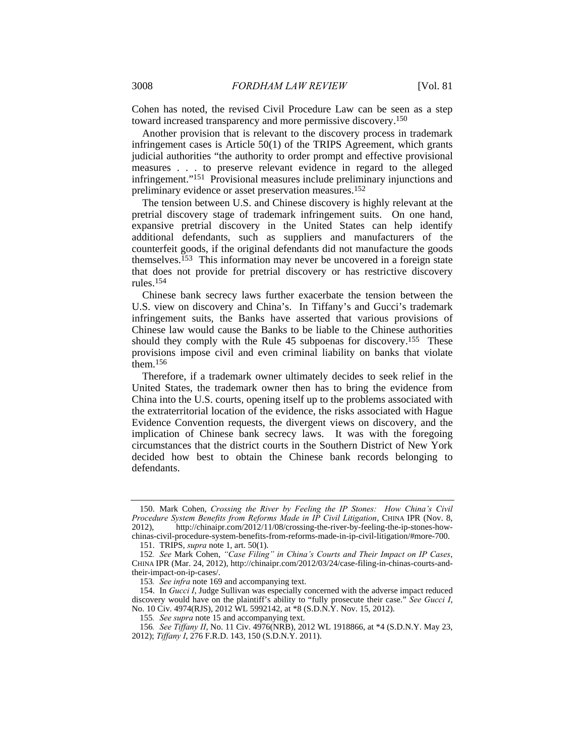Cohen has noted, the revised Civil Procedure Law can be seen as a step toward increased transparency and more permissive discovery.150

Another provision that is relevant to the discovery process in trademark infringement cases is Article 50(1) of the TRIPS Agreement, which grants judicial authorities "the authority to order prompt and effective provisional measures . . . to preserve relevant evidence in regard to the alleged infringement."151 Provisional measures include preliminary injunctions and preliminary evidence or asset preservation measures.152

The tension between U.S. and Chinese discovery is highly relevant at the pretrial discovery stage of trademark infringement suits. On one hand, expansive pretrial discovery in the United States can help identify additional defendants, such as suppliers and manufacturers of the counterfeit goods, if the original defendants did not manufacture the goods themselves.<sup>153</sup> This information may never be uncovered in a foreign state that does not provide for pretrial discovery or has restrictive discovery rules.154

Chinese bank secrecy laws further exacerbate the tension between the U.S. view on discovery and China's. In Tiffany's and Gucci's trademark infringement suits, the Banks have asserted that various provisions of Chinese law would cause the Banks to be liable to the Chinese authorities should they comply with the Rule 45 subpoenas for discovery.<sup>155</sup> These provisions impose civil and even criminal liability on banks that violate them.156

Therefore, if a trademark owner ultimately decides to seek relief in the United States, the trademark owner then has to bring the evidence from China into the U.S. courts, opening itself up to the problems associated with the extraterritorial location of the evidence, the risks associated with Hague Evidence Convention requests, the divergent views on discovery, and the implication of Chinese bank secrecy laws. It was with the foregoing circumstances that the district courts in the Southern District of New York decided how best to obtain the Chinese bank records belonging to defendants.

 <sup>150.</sup> Mark Cohen, *Crossing the River by Feeling the IP Stones: How China's Civil Procedure System Benefits from Reforms Made in IP Civil Litigation*, CHINA IPR (Nov. 8, 2012), http://chinaipr.com/2012/11/08/crossing-the-river-by-feeling-the-ip-stones-howchinas-civil-procedure-system-benefits-from-reforms-made-in-ip-civil-litigation/#more-700.

 <sup>151.</sup> TRIPS, *supra* note 1, art. 50(1).

<sup>152</sup>*. See* Mark Cohen, *"Case Filing" in China's Courts and Their Impact on IP Cases*, CHINA IPR (Mar. 24, 2012), http://chinaipr.com/2012/03/24/case-filing-in-chinas-courts-andtheir-impact-on-ip-cases/.

<sup>153</sup>*. See infra* note 169 and accompanying text.

 <sup>154.</sup> In *Gucci I*, Judge Sullivan was especially concerned with the adverse impact reduced discovery would have on the plaintiff's ability to "fully prosecute their case." *See Gucci I*, No. 10 Civ. 4974(RJS), 2012 WL 5992142, at \*8 (S.D.N.Y. Nov. 15, 2012).

<sup>155</sup>*. See supra* note 15 and accompanying text.

<sup>156</sup>*. See Tiffany II*, No. 11 Civ. 4976(NRB), 2012 WL 1918866, at \*4 (S.D.N.Y. May 23, 2012); *Tiffany I*, 276 F.R.D. 143, 150 (S.D.N.Y. 2011).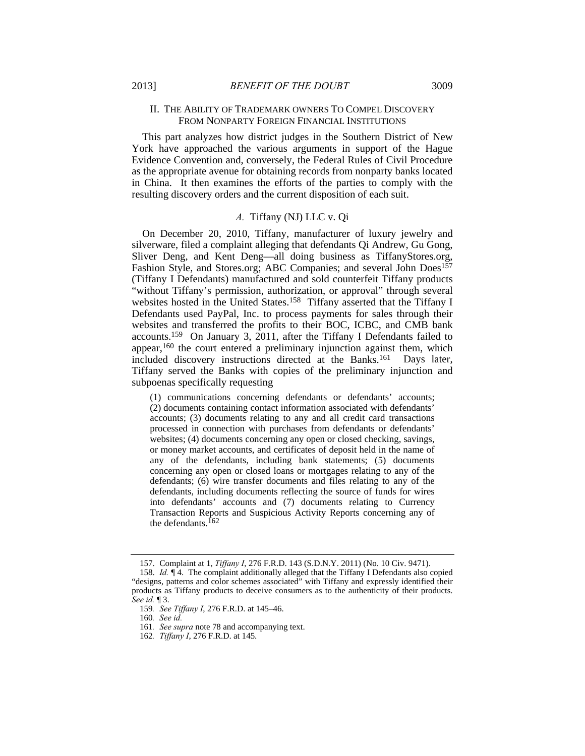## II. THE ABILITY OF TRADEMARK OWNERS TO COMPEL DISCOVERY FROM NONPARTY FOREIGN FINANCIAL INSTITUTIONS

This part analyzes how district judges in the Southern District of New York have approached the various arguments in support of the Hague Evidence Convention and, conversely, the Federal Rules of Civil Procedure as the appropriate avenue for obtaining records from nonparty banks located in China. It then examines the efforts of the parties to comply with the resulting discovery orders and the current disposition of each suit.

## *A.* Tiffany (NJ) LLC v. Qi

On December 20, 2010, Tiffany, manufacturer of luxury jewelry and silverware, filed a complaint alleging that defendants Qi Andrew, Gu Gong, Sliver Deng, and Kent Deng—all doing business as TiffanyStores.org, Fashion Style, and Stores.org; ABC Companies; and several John Does<sup>157</sup> (Tiffany I Defendants) manufactured and sold counterfeit Tiffany products "without Tiffany's permission, authorization, or approval" through several websites hosted in the United States.158 Tiffany asserted that the Tiffany I Defendants used PayPal, Inc. to process payments for sales through their websites and transferred the profits to their BOC, ICBC, and CMB bank accounts.159 On January 3, 2011, after the Tiffany I Defendants failed to appear,160 the court entered a preliminary injunction against them, which included discovery instructions directed at the Banks.161 Days later, Tiffany served the Banks with copies of the preliminary injunction and subpoenas specifically requesting

(1) communications concerning defendants or defendants' accounts; (2) documents containing contact information associated with defendants' accounts; (3) documents relating to any and all credit card transactions processed in connection with purchases from defendants or defendants' websites; (4) documents concerning any open or closed checking, savings, or money market accounts, and certificates of deposit held in the name of any of the defendants, including bank statements; (5) documents concerning any open or closed loans or mortgages relating to any of the defendants; (6) wire transfer documents and files relating to any of the defendants, including documents reflecting the source of funds for wires into defendants' accounts and (7) documents relating to Currency Transaction Reports and Suspicious Activity Reports concerning any of the defendants.<sup>162</sup>

 <sup>157.</sup> Complaint at 1, *Tiffany I*, 276 F.R.D. 143 (S.D.N.Y. 2011) (No. 10 Civ. 9471). 158. *Id.* ¶ 4. The complaint additionally alleged that the Tiffany I Defendants also copied "designs, patterns and color schemes associated" with Tiffany and expressly identified their products as Tiffany products to deceive consumers as to the authenticity of their products. *See id.* ¶ 3.

<sup>159</sup>*. See Tiffany I*, 276 F.R.D. at 145–46.

<sup>160</sup>*. See id.*

<sup>161</sup>*. See supra* note 78 and accompanying text.

<sup>162</sup>*. Tiffany I*, 276 F.R.D. at 145.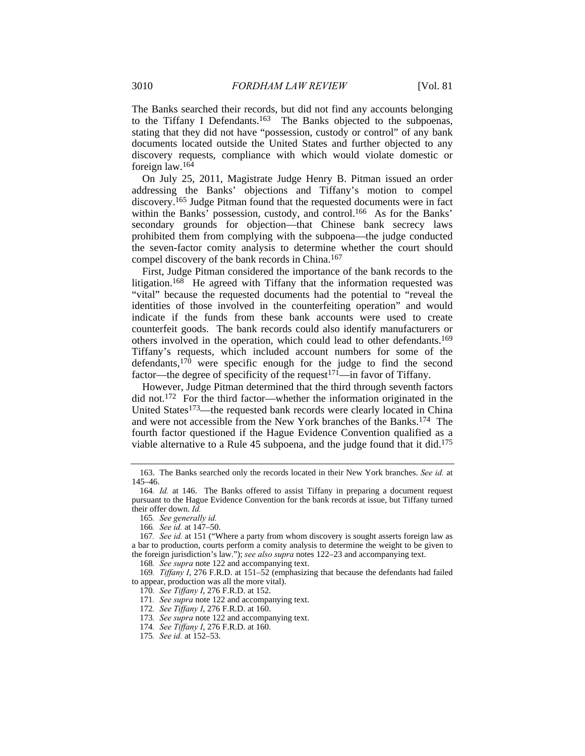The Banks searched their records, but did not find any accounts belonging to the Tiffany I Defendants.<sup>163</sup> The Banks objected to the subpoenas, stating that they did not have "possession, custody or control" of any bank documents located outside the United States and further objected to any discovery requests, compliance with which would violate domestic or foreign law.164

On July 25, 2011, Magistrate Judge Henry B. Pitman issued an order addressing the Banks' objections and Tiffany's motion to compel discovery.165 Judge Pitman found that the requested documents were in fact within the Banks' possession, custody, and control.<sup>166</sup> As for the Banks' secondary grounds for objection—that Chinese bank secrecy laws prohibited them from complying with the subpoena—the judge conducted the seven-factor comity analysis to determine whether the court should compel discovery of the bank records in China.167

First, Judge Pitman considered the importance of the bank records to the litigation.<sup>168</sup> He agreed with Tiffany that the information requested was "vital" because the requested documents had the potential to "reveal the identities of those involved in the counterfeiting operation" and would indicate if the funds from these bank accounts were used to create counterfeit goods. The bank records could also identify manufacturers or others involved in the operation, which could lead to other defendants.169 Tiffany's requests, which included account numbers for some of the defendants, $170$  were specific enough for the judge to find the second factor—the degree of specificity of the request<sup>171</sup>—in favor of Tiffany.

However, Judge Pitman determined that the third through seventh factors did not.172 For the third factor—whether the information originated in the United States<sup>173</sup>—the requested bank records were clearly located in China and were not accessible from the New York branches of the Banks.174 The fourth factor questioned if the Hague Evidence Convention qualified as a viable alternative to a Rule 45 subpoena, and the judge found that it did.175

168*. See supra* note 122 and accompanying text.

169*. Tiffany I*, 276 F.R.D. at 151–52 (emphasizing that because the defendants had failed to appear, production was all the more vital).

170*. See Tiffany I*, 276 F.R.D. at 152.

171*. See supra* note 122 and accompanying text.

172*. See Tiffany I*, 276 F.R.D. at 160.

173*. See supra* note 122 and accompanying text.

174*. See Tiffany I*, 276 F.R.D. at 160.

175*. See id.* at 152–53.

 <sup>163.</sup> The Banks searched only the records located in their New York branches. *See id.* at 145–46.

<sup>164</sup>*. Id.* at 146. The Banks offered to assist Tiffany in preparing a document request pursuant to the Hague Evidence Convention for the bank records at issue, but Tiffany turned their offer down. *Id.*

<sup>165</sup>*. See generally id.*

<sup>166</sup>*. See id.* at 147–50.

<sup>167</sup>*. See id.* at 151 ("Where a party from whom discovery is sought asserts foreign law as a bar to production, courts perform a comity analysis to determine the weight to be given to the foreign jurisdiction's law."); *see also supra* notes 122–23 and accompanying text.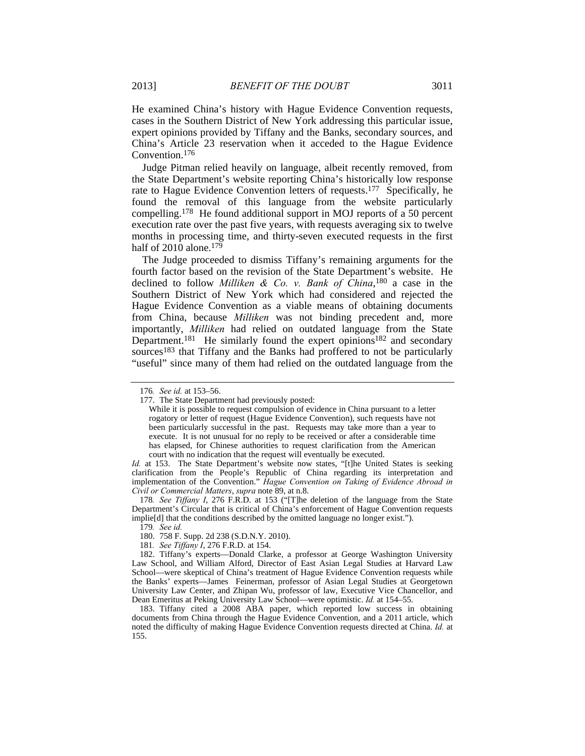He examined China's history with Hague Evidence Convention requests, cases in the Southern District of New York addressing this particular issue, expert opinions provided by Tiffany and the Banks, secondary sources, and China's Article 23 reservation when it acceded to the Hague Evidence Convention.176

Judge Pitman relied heavily on language, albeit recently removed, from the State Department's website reporting China's historically low response rate to Hague Evidence Convention letters of requests.177 Specifically, he found the removal of this language from the website particularly compelling.178 He found additional support in MOJ reports of a 50 percent execution rate over the past five years, with requests averaging six to twelve months in processing time, and thirty-seven executed requests in the first half of  $2010$  alone.<sup>179</sup>

The Judge proceeded to dismiss Tiffany's remaining arguments for the fourth factor based on the revision of the State Department's website. He declined to follow *Milliken & Co. v. Bank of China*, 180 a case in the Southern District of New York which had considered and rejected the Hague Evidence Convention as a viable means of obtaining documents from China, because *Milliken* was not binding precedent and, more importantly, *Milliken* had relied on outdated language from the State Department.<sup>181</sup> He similarly found the expert opinions<sup>182</sup> and secondary sources<sup>183</sup> that Tiffany and the Banks had proffered to not be particularly "useful" since many of them had relied on the outdated language from the

*Id.* at 153. The State Department's website now states, "[t]he United States is seeking clarification from the People's Republic of China regarding its interpretation and implementation of the Convention." *Hague Convention on Taking of Evidence Abroad in Civil or Commercial Matters*, *supra* note 89, at n.8.

- 180. 758 F. Supp. 2d 238 (S.D.N.Y. 2010).
- 181*. See Tiffany I*, 276 F.R.D. at 154.

<sup>176</sup>*. See id.* at 153–56.

 <sup>177.</sup> The State Department had previously posted:

While it is possible to request compulsion of evidence in China pursuant to a letter rogatory or letter of request (Hague Evidence Convention), such requests have not been particularly successful in the past. Requests may take more than a year to execute. It is not unusual for no reply to be received or after a considerable time has elapsed, for Chinese authorities to request clarification from the American court with no indication that the request will eventually be executed.

<sup>178</sup>*. See Tiffany I*, 276 F.R.D. at 153 ("[T]he deletion of the language from the State Department's Circular that is critical of China's enforcement of Hague Convention requests implie[d] that the conditions described by the omitted language no longer exist.").

<sup>179</sup>*. See id.*

 <sup>182.</sup> Tiffany's experts—Donald Clarke, a professor at George Washington University Law School, and William Alford, Director of East Asian Legal Studies at Harvard Law School—were skeptical of China's treatment of Hague Evidence Convention requests while the Banks' experts—James Feinerman, professor of Asian Legal Studies at Georgetown University Law Center, and Zhipan Wu, professor of law, Executive Vice Chancellor, and Dean Emeritus at Peking University Law School—were optimistic. *Id.* at 154–55.

 <sup>183.</sup> Tiffany cited a 2008 ABA paper, which reported low success in obtaining documents from China through the Hague Evidence Convention, and a 2011 article, which noted the difficulty of making Hague Evidence Convention requests directed at China. *Id.* at 155.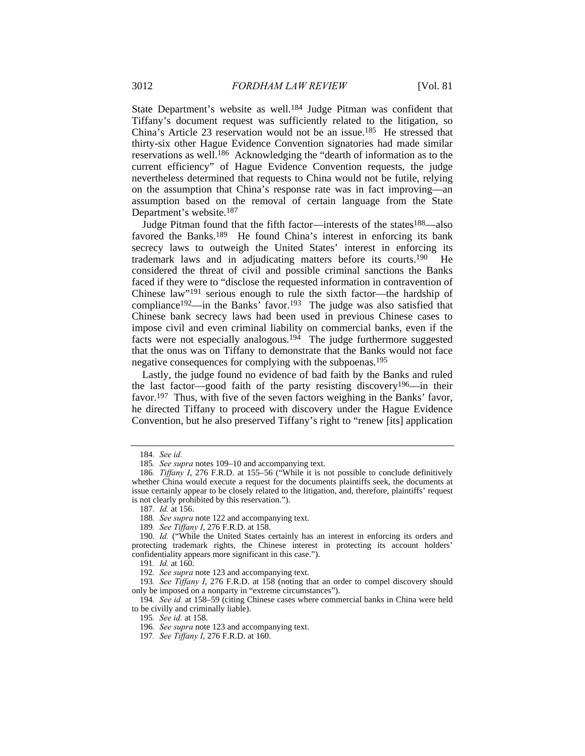State Department's website as well.184 Judge Pitman was confident that Tiffany's document request was sufficiently related to the litigation, so China's Article 23 reservation would not be an issue.185 He stressed that thirty-six other Hague Evidence Convention signatories had made similar reservations as well.186 Acknowledging the "dearth of information as to the current efficiency" of Hague Evidence Convention requests, the judge nevertheless determined that requests to China would not be futile, relying on the assumption that China's response rate was in fact improving—an assumption based on the removal of certain language from the State Department's website.187

Judge Pitman found that the fifth factor—interests of the states<sup>188</sup>—also favored the Banks.<sup>189</sup> He found China's interest in enforcing its bank secrecy laws to outweigh the United States' interest in enforcing its trademark laws and in adjudicating matters before its courts.190 He considered the threat of civil and possible criminal sanctions the Banks faced if they were to "disclose the requested information in contravention of Chinese law"191 serious enough to rule the sixth factor—the hardship of compliance<sup>192</sup>—in the Banks' favor.<sup>193</sup> The judge was also satisfied that Chinese bank secrecy laws had been used in previous Chinese cases to impose civil and even criminal liability on commercial banks, even if the facts were not especially analogous.<sup>194</sup> The judge furthermore suggested that the onus was on Tiffany to demonstrate that the Banks would not face negative consequences for complying with the subpoenas.195

Lastly, the judge found no evidence of bad faith by the Banks and ruled the last factor—good faith of the party resisting discovery<sup>196</sup>—in their favor.197 Thus, with five of the seven factors weighing in the Banks' favor, he directed Tiffany to proceed with discovery under the Hague Evidence Convention, but he also preserved Tiffany's right to "renew [its] application

<sup>184</sup>*. See id.*

<sup>185</sup>*. See supra* notes 109–10 and accompanying text.

<sup>186</sup>*. Tiffany I*, 276 F.R.D. at 155–56 ("While it is not possible to conclude definitively whether China would execute a request for the documents plaintiffs seek, the documents at issue certainly appear to be closely related to the litigation, and, therefore, plaintiffs' request is not clearly prohibited by this reservation.").

<sup>187</sup>*. Id.* at 156.

<sup>188</sup>*. See supra* note 122 and accompanying text.

<sup>189</sup>*. See Tiffany I*, 276 F.R.D. at 158.

<sup>190</sup>*. Id.* ("While the United States certainly has an interest in enforcing its orders and protecting trademark rights, the Chinese interest in protecting its account holders' confidentiality appears more significant in this case.").

<sup>191</sup>*. Id.* at 160.

<sup>192</sup>*. See supra* note 123 and accompanying text.

<sup>193</sup>*. See Tiffany I*, 276 F.R.D. at 158 (noting that an order to compel discovery should only be imposed on a nonparty in "extreme circumstances").

<sup>194</sup>*. See id.* at 158–59 (citing Chinese cases where commercial banks in China were held to be civilly and criminally liable).

<sup>195</sup>*. See id.* at 158.

<sup>196</sup>*. See supra* note 123 and accompanying text.

<sup>197</sup>*. See Tiffany I*, 276 F.R.D. at 160.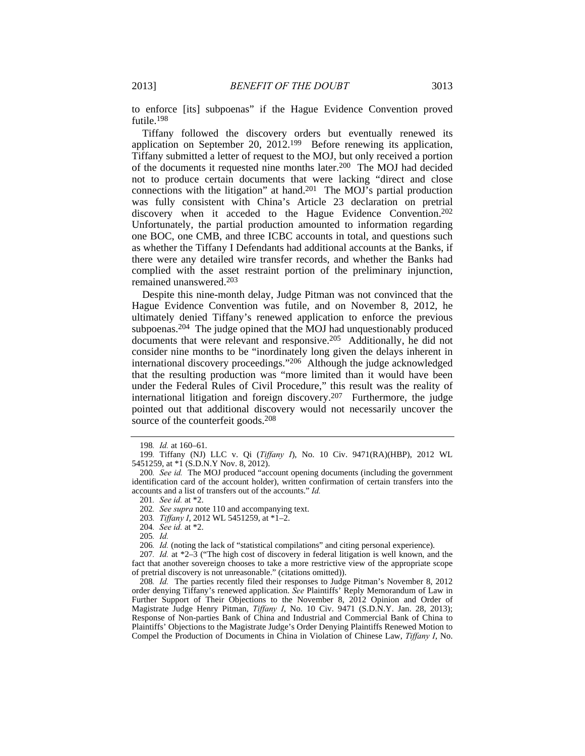to enforce [its] subpoenas" if the Hague Evidence Convention proved futile.198

Tiffany followed the discovery orders but eventually renewed its application on September 20, 2012.199 Before renewing its application, Tiffany submitted a letter of request to the MOJ, but only received a portion of the documents it requested nine months later.200 The MOJ had decided not to produce certain documents that were lacking "direct and close connections with the litigation" at hand.201 The MOJ's partial production was fully consistent with China's Article 23 declaration on pretrial discovery when it acceded to the Hague Evidence Convention.<sup>202</sup> Unfortunately, the partial production amounted to information regarding one BOC, one CMB, and three ICBC accounts in total, and questions such as whether the Tiffany I Defendants had additional accounts at the Banks, if there were any detailed wire transfer records, and whether the Banks had complied with the asset restraint portion of the preliminary injunction, remained unanswered.203

Despite this nine-month delay, Judge Pitman was not convinced that the Hague Evidence Convention was futile, and on November 8, 2012, he ultimately denied Tiffany's renewed application to enforce the previous subpoenas.204 The judge opined that the MOJ had unquestionably produced documents that were relevant and responsive.205 Additionally, he did not consider nine months to be "inordinately long given the delays inherent in international discovery proceedings."206 Although the judge acknowledged that the resulting production was "more limited than it would have been under the Federal Rules of Civil Procedure," this result was the reality of international litigation and foreign discovery.207 Furthermore, the judge pointed out that additional discovery would not necessarily uncover the source of the counterfeit goods.<sup>208</sup>

<sup>198</sup>*. Id.* at 160–61.

<sup>199</sup>*.* Tiffany (NJ) LLC v. Qi (*Tiffany I*), No. 10 Civ. 9471(RA)(HBP), 2012 WL 5451259, at \*1 (S.D.N.Y Nov. 8, 2012).

<sup>200</sup>*. See id.* The MOJ produced "account opening documents (including the government identification card of the account holder), written confirmation of certain transfers into the accounts and a list of transfers out of the accounts." *Id.*

<sup>201</sup>*. See id.* at \*2.

<sup>202</sup>*. See supra* note 110 and accompanying text.

<sup>203</sup>*. Tiffany I*, 2012 WL 5451259, at \*1–2.

<sup>204</sup>*. See id.* at \*2.

<sup>205</sup>*. Id.*

<sup>206</sup>*. Id.* (noting the lack of "statistical compilations" and citing personal experience).

<sup>207</sup>*. Id.* at \*2–3 ("The high cost of discovery in federal litigation is well known, and the fact that another sovereign chooses to take a more restrictive view of the appropriate scope of pretrial discovery is not unreasonable." (citations omitted)).

<sup>208</sup>*. Id.* The parties recently filed their responses to Judge Pitman's November 8, 2012 order denying Tiffany's renewed application. *See* Plaintiffs' Reply Memorandum of Law in Further Support of Their Objections to the November 8, 2012 Opinion and Order of Magistrate Judge Henry Pitman, *Tiffany I*, No. 10 Civ. 9471 (S.D.N.Y. Jan. 28, 2013); Response of Non-parties Bank of China and Industrial and Commercial Bank of China to Plaintiffs' Objections to the Magistrate Judge's Order Denying Plaintiffs Renewed Motion to Compel the Production of Documents in China in Violation of Chinese Law, *Tiffany I*, No.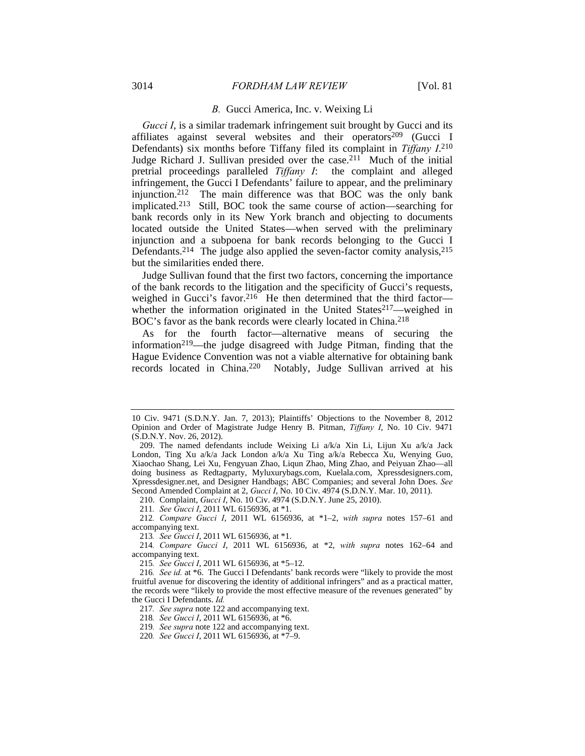#### *B.* Gucci America, Inc. v. Weixing Li

*Gucci I*, is a similar trademark infringement suit brought by Gucci and its affiliates against several websites and their operators<sup>209</sup> (Gucci I Defendants) six months before Tiffany filed its complaint in *Tiffany I*. 210 Judge Richard J. Sullivan presided over the case.211 Much of the initial pretrial proceedings paralleled *Tiffany I*: the complaint and alleged infringement, the Gucci I Defendants' failure to appear, and the preliminary injunction.212 The main difference was that BOC was the only bank implicated.213 Still, BOC took the same course of action—searching for bank records only in its New York branch and objecting to documents located outside the United States—when served with the preliminary injunction and a subpoena for bank records belonging to the Gucci I Defendants.<sup>214</sup> The judge also applied the seven-factor comity analysis,<sup>215</sup> but the similarities ended there.

Judge Sullivan found that the first two factors, concerning the importance of the bank records to the litigation and the specificity of Gucci's requests, weighed in Gucci's favor.<sup>216</sup> He then determined that the third factorwhether the information originated in the United States<sup>217</sup>—weighed in BOC's favor as the bank records were clearly located in China.218

As for the fourth factor—alternative means of securing the information219—the judge disagreed with Judge Pitman, finding that the Hague Evidence Convention was not a viable alternative for obtaining bank records located in China.220 Notably, Judge Sullivan arrived at his

210. Complaint, *Gucci I*, No. 10 Civ. 4974 (S.D.N.Y. June 25, 2010).

212*. Compare Gucci I*, 2011 WL 6156936, at \*1–2, *with supra* notes 157–61 and accompanying text.

215*. See Gucci I*, 2011 WL 6156936, at \*5–12.

<sup>10</sup> Civ. 9471 (S.D.N.Y. Jan. 7, 2013); Plaintiffs' Objections to the November 8, 2012 Opinion and Order of Magistrate Judge Henry B. Pitman, *Tiffany I*, No. 10 Civ. 9471 (S.D.N.Y. Nov. 26, 2012).

 <sup>209.</sup> The named defendants include Weixing Li a/k/a Xin Li, Lijun Xu a/k/a Jack London, Ting Xu a/k/a Jack London a/k/a Xu Ting a/k/a Rebecca Xu, Wenying Guo, Xiaochao Shang, Lei Xu, Fengyuan Zhao, Liqun Zhao, Ming Zhao, and Peiyuan Zhao—all doing business as Redtagparty, Myluxurybags.com, Kuelala.com, Xpressdesigners.com, Xpressdesigner.net, and Designer Handbags; ABC Companies; and several John Does. *See* Second Amended Complaint at 2, *Gucci I*, No. 10 Civ. 4974 (S.D.N.Y. Mar. 10, 2011).

<sup>211</sup>*. See Gucci I*, 2011 WL 6156936, at \*1.

<sup>213</sup>*. See Gucci I*, 2011 WL 6156936, at \*1.

<sup>214</sup>*. Compare Gucci I*, 2011 WL 6156936, at \*2, *with supra* notes 162–64 and accompanying text.

<sup>216</sup>*. See id.* at \*6. The Gucci I Defendants' bank records were "likely to provide the most fruitful avenue for discovering the identity of additional infringers" and as a practical matter, the records were "likely to provide the most effective measure of the revenues generated" by the Gucci I Defendants. *Id.*

<sup>217</sup>*. See supra* note 122 and accompanying text.

<sup>218</sup>*. See Gucci I*, 2011 WL 6156936, at \*6.

<sup>219</sup>*. See supra* note 122 and accompanying text.

<sup>220</sup>*. See Gucci I*, 2011 WL 6156936, at \*7–9.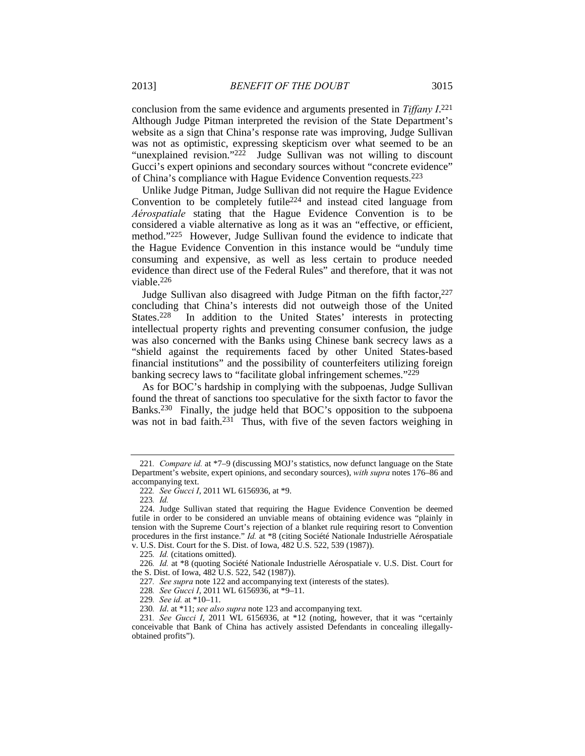conclusion from the same evidence and arguments presented in *Tiffany I*. 221 Although Judge Pitman interpreted the revision of the State Department's website as a sign that China's response rate was improving, Judge Sullivan was not as optimistic, expressing skepticism over what seemed to be an "unexplained revision."222 Judge Sullivan was not willing to discount Gucci's expert opinions and secondary sources without "concrete evidence" of China's compliance with Hague Evidence Convention requests.223

Unlike Judge Pitman, Judge Sullivan did not require the Hague Evidence Convention to be completely futile224 and instead cited language from *Aérospatiale* stating that the Hague Evidence Convention is to be considered a viable alternative as long as it was an "effective, or efficient, method."225 However, Judge Sullivan found the evidence to indicate that the Hague Evidence Convention in this instance would be "unduly time consuming and expensive, as well as less certain to produce needed evidence than direct use of the Federal Rules" and therefore, that it was not viable.226

Judge Sullivan also disagreed with Judge Pitman on the fifth factor,  $227$ concluding that China's interests did not outweigh those of the United States.<sup>228</sup> In addition to the United States' interests in protecting intellectual property rights and preventing consumer confusion, the judge was also concerned with the Banks using Chinese bank secrecy laws as a "shield against the requirements faced by other United States-based financial institutions" and the possibility of counterfeiters utilizing foreign banking secrecy laws to "facilitate global infringement schemes."229

As for BOC's hardship in complying with the subpoenas, Judge Sullivan found the threat of sanctions too speculative for the sixth factor to favor the Banks.230 Finally, the judge held that BOC's opposition to the subpoena was not in bad faith.<sup>231</sup> Thus, with five of the seven factors weighing in

<sup>221</sup>*. Compare id.* at \*7–9 (discussing MOJ's statistics, now defunct language on the State Department's website, expert opinions, and secondary sources), *with supra* notes 176–86 and accompanying text.

<sup>222</sup>*. See Gucci I*, 2011 WL 6156936, at \*9.

<sup>223</sup>*. Id.*

 <sup>224.</sup> Judge Sullivan stated that requiring the Hague Evidence Convention be deemed futile in order to be considered an unviable means of obtaining evidence was "plainly in tension with the Supreme Court's rejection of a blanket rule requiring resort to Convention procedures in the first instance." *Id.* at \*8 (citing Société Nationale Industrielle Aérospatiale v. U.S. Dist. Court for the S. Dist. of Iowa, 482 U.S. 522, 539 (1987)).

<sup>225</sup>*. Id.* (citations omitted).

<sup>226</sup>*. Id.* at \*8 (quoting Société Nationale Industrielle Aérospatiale v. U.S. Dist. Court for the S. Dist. of Iowa, 482 U.S. 522, 542 (1987)).

<sup>227</sup>*. See supra* note 122 and accompanying text (interests of the states).

<sup>228</sup>*. See Gucci I*, 2011 WL 6156936, at \*9–11.

<sup>229</sup>*. See id.* at \*10–11.

<sup>230</sup>*. Id*. at \*11; *see also supra* note 123 and accompanying text.

<sup>231</sup>*. See Gucci I*, 2011 WL 6156936, at \*12 (noting, however, that it was "certainly conceivable that Bank of China has actively assisted Defendants in concealing illegallyobtained profits").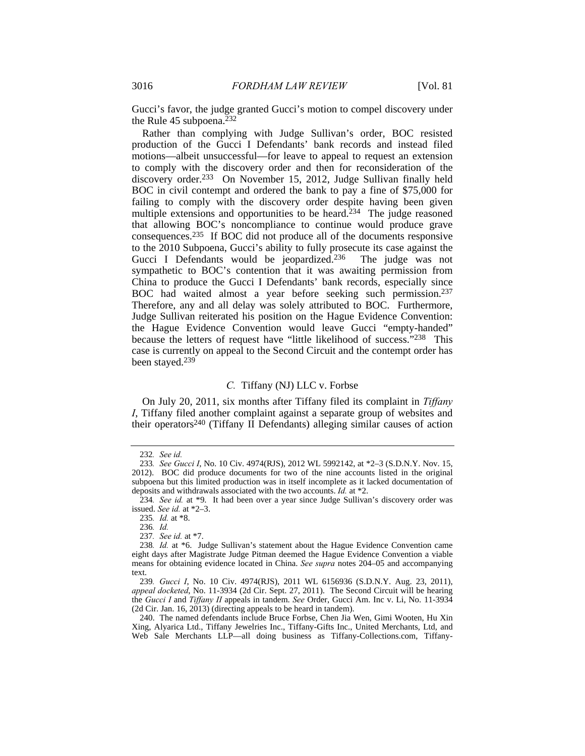Gucci's favor, the judge granted Gucci's motion to compel discovery under the Rule 45 subpoena.232

Rather than complying with Judge Sullivan's order, BOC resisted production of the Gucci I Defendants' bank records and instead filed motions—albeit unsuccessful—for leave to appeal to request an extension to comply with the discovery order and then for reconsideration of the discovery order.233 On November 15, 2012, Judge Sullivan finally held BOC in civil contempt and ordered the bank to pay a fine of \$75,000 for failing to comply with the discovery order despite having been given multiple extensions and opportunities to be heard.<sup>234</sup> The judge reasoned that allowing BOC's noncompliance to continue would produce grave consequences.235 If BOC did not produce all of the documents responsive to the 2010 Subpoena, Gucci's ability to fully prosecute its case against the Gucci I Defendants would be jeopardized.<sup>236</sup> The judge was not sympathetic to BOC's contention that it was awaiting permission from China to produce the Gucci I Defendants' bank records, especially since BOC had waited almost a year before seeking such permission.237 Therefore, any and all delay was solely attributed to BOC. Furthermore, Judge Sullivan reiterated his position on the Hague Evidence Convention: the Hague Evidence Convention would leave Gucci "empty-handed" because the letters of request have "little likelihood of success."238 This case is currently on appeal to the Second Circuit and the contempt order has been stayed.239

## *C.* Tiffany (NJ) LLC v. Forbse

On July 20, 2011, six months after Tiffany filed its complaint in *Tiffany I*, Tiffany filed another complaint against a separate group of websites and their operators<sup>240</sup> (Tiffany II Defendants) alleging similar causes of action

<sup>232</sup>*. See id.*

<sup>233</sup>*. See Gucci I*, No. 10 Civ. 4974(RJS), 2012 WL 5992142, at \*2–3 (S.D.N.Y. Nov. 15, 2012). BOC did produce documents for two of the nine accounts listed in the original subpoena but this limited production was in itself incomplete as it lacked documentation of deposits and withdrawals associated with the two accounts. *Id.* at \*2.

<sup>234</sup>*. See id.* at \*9. It had been over a year since Judge Sullivan's discovery order was issued. *See id.* at \*2–3.

<sup>235</sup>*. Id.* at \*8.

<sup>236</sup>*. Id.*

<sup>237</sup>*. See id.* at \*7.

<sup>238</sup>*. Id.* at \*6. Judge Sullivan's statement about the Hague Evidence Convention came eight days after Magistrate Judge Pitman deemed the Hague Evidence Convention a viable means for obtaining evidence located in China. *See supra* notes 204–05 and accompanying text.

<sup>239</sup>*. Gucci I*, No. 10 Civ. 4974(RJS), 2011 WL 6156936 (S.D.N.Y. Aug. 23, 2011), *appeal docketed*, No. 11-3934 (2d Cir. Sept. 27, 2011). The Second Circuit will be hearing the *Gucci I* and *Tiffany II* appeals in tandem. *See* Order, Gucci Am. Inc v. Li, No. 11-3934 (2d Cir. Jan. 16, 2013) (directing appeals to be heard in tandem).

 <sup>240.</sup> The named defendants include Bruce Forbse, Chen Jia Wen, Gimi Wooten, Hu Xin Xing, Alyarica Ltd., Tiffany Jewelries Inc., Tiffany-Gifts Inc., United Merchants, Ltd, and Web Sale Merchants LLP—all doing business as Tiffany-Collections.com, Tiffany-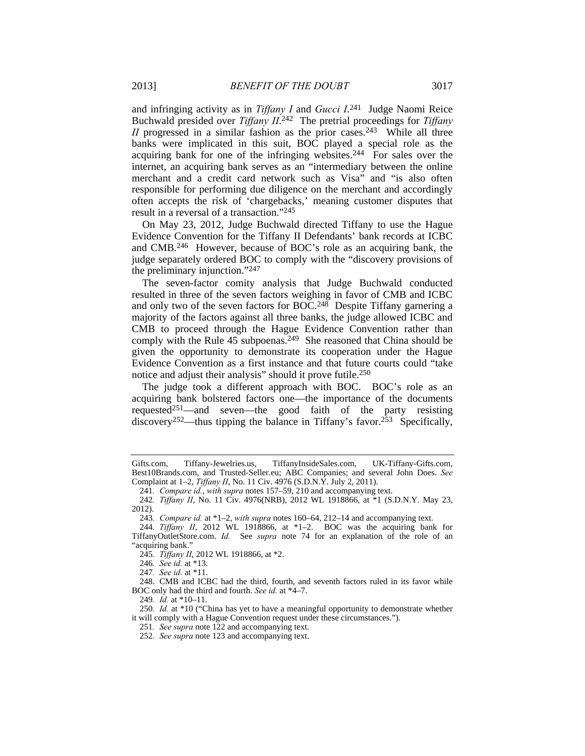and infringing activity as in *Tiffany I* and *Gucci I*. 241 Judge Naomi Reice Buchwald presided over *Tiffany II*. 242 The pretrial proceedings for *Tiffany II* progressed in a similar fashion as the prior cases.<sup>243</sup> While all three banks were implicated in this suit, BOC played a special role as the acquiring bank for one of the infringing websites.244 For sales over the internet, an acquiring bank serves as an "intermediary between the online merchant and a credit card network such as Visa" and "is also often responsible for performing due diligence on the merchant and accordingly often accepts the risk of 'chargebacks,' meaning customer disputes that result in a reversal of a transaction."245

On May 23, 2012, Judge Buchwald directed Tiffany to use the Hague Evidence Convention for the Tiffany II Defendants' bank records at ICBC and CMB.246 However, because of BOC's role as an acquiring bank, the judge separately ordered BOC to comply with the "discovery provisions of the preliminary injunction."247

The seven-factor comity analysis that Judge Buchwald conducted resulted in three of the seven factors weighing in favor of CMB and ICBC and only two of the seven factors for BOC.<sup>248</sup> Despite Tiffany garnering a majority of the factors against all three banks, the judge allowed ICBC and CMB to proceed through the Hague Evidence Convention rather than comply with the Rule 45 subpoenas.<sup>249</sup> She reasoned that China should be given the opportunity to demonstrate its cooperation under the Hague Evidence Convention as a first instance and that future courts could "take notice and adjust their analysis" should it prove futile.<sup>250</sup>

The judge took a different approach with BOC. BOC's role as an acquiring bank bolstered factors one—the importance of the documents requested<sup>251</sup>—and seven—the good faith of the party resisting discovery<sup>252</sup>—thus tipping the balance in Tiffany's favor.<sup>253</sup> Specifically,

Gifts.com, Tiffany-Jewelries.us, TiffanyInsideSales.com, UK-Tiffany-Gifts.com, Best10Brands.com, and Trusted-Seller.eu; ABC Companies; and several John Does. *See* Complaint at 1–2, *Tiffany II*, No. 11 Civ. 4976 (S.D.N.Y. July 2, 2011).

<sup>241</sup>*. Compare id.*, *with supra* notes 157–59, 210 and accompanying text.

<sup>242</sup>*. Tiffany II*, No. 11 Civ. 4976(NRB), 2012 WL 1918866, at \*1 (S.D.N.Y. May 23, 2012).

<sup>243</sup>*. Compare id.* at \*1–2, *with supra* notes 160–64, 212–14 and accompanying text.

<sup>244</sup>*. Tiffany II*, 2012 WL 1918866, at \*1–2. BOC was the acquiring bank for TiffanyOutletStore.com. *Id.* See *supra* note 74 for an explanation of the role of an "acquiring bank."

<sup>245</sup>*. Tiffany II*, 2012 WL 1918866, at \*2.

<sup>246</sup>*. See id.* at \*13.

<sup>247</sup>*. See id.* at \*11.

 <sup>248.</sup> CMB and ICBC had the third, fourth, and seventh factors ruled in its favor while BOC only had the third and fourth. *See id.* at \*4–7.

<sup>249</sup>*. Id.* at \*10–11.

<sup>250</sup>*. Id.* at \*10 ("China has yet to have a meaningful opportunity to demonstrate whether it will comply with a Hague Convention request under these circumstances.").

<sup>251</sup>*. See supra* note 122 and accompanying text.

<sup>252</sup>*. See supra* note 123 and accompanying text.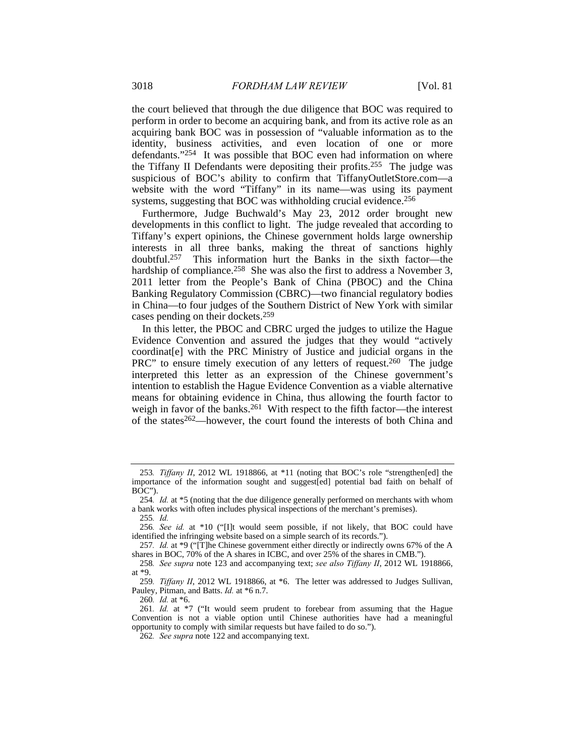the court believed that through the due diligence that BOC was required to perform in order to become an acquiring bank, and from its active role as an acquiring bank BOC was in possession of "valuable information as to the identity, business activities, and even location of one or more defendants."254 It was possible that BOC even had information on where the Tiffany II Defendants were depositing their profits.255 The judge was suspicious of BOC's ability to confirm that TiffanyOutletStore.com—a website with the word "Tiffany" in its name—was using its payment systems, suggesting that BOC was withholding crucial evidence.<sup>256</sup>

Furthermore, Judge Buchwald's May 23, 2012 order brought new developments in this conflict to light. The judge revealed that according to Tiffany's expert opinions, the Chinese government holds large ownership interests in all three banks, making the threat of sanctions highly doubtful.257 This information hurt the Banks in the sixth factor—the hardship of compliance.<sup>258</sup> She was also the first to address a November 3, 2011 letter from the People's Bank of China (PBOC) and the China Banking Regulatory Commission (CBRC)—two financial regulatory bodies in China—to four judges of the Southern District of New York with similar cases pending on their dockets.259

In this letter, the PBOC and CBRC urged the judges to utilize the Hague Evidence Convention and assured the judges that they would "actively coordinat[e] with the PRC Ministry of Justice and judicial organs in the PRC" to ensure timely execution of any letters of request.<sup>260</sup> The judge interpreted this letter as an expression of the Chinese government's intention to establish the Hague Evidence Convention as a viable alternative means for obtaining evidence in China, thus allowing the fourth factor to weigh in favor of the banks.<sup>261</sup> With respect to the fifth factor—the interest of the states262—however, the court found the interests of both China and

<sup>253</sup>*. Tiffany II*, 2012 WL 1918866, at \*11 (noting that BOC's role "strengthen[ed] the importance of the information sought and suggest[ed] potential bad faith on behalf of BOC").

<sup>254</sup>*. Id.* at \*5 (noting that the due diligence generally performed on merchants with whom a bank works with often includes physical inspections of the merchant's premises).

<sup>255</sup>*. Id.*

<sup>256</sup>*. See id.* at \*10 ("[I]t would seem possible, if not likely, that BOC could have identified the infringing website based on a simple search of its records.").

<sup>257</sup>*. Id.* at \*9 ("[T]he Chinese government either directly or indirectly owns 67% of the A shares in BOC, 70% of the A shares in ICBC, and over 25% of the shares in CMB.").

<sup>258</sup>*. See supra* note 123 and accompanying text; *see also Tiffany II*, 2012 WL 1918866, at \*9.

<sup>259</sup>*. Tiffany II*, 2012 WL 1918866, at \*6. The letter was addressed to Judges Sullivan, Pauley, Pitman, and Batts. *Id.* at \*6 n.7.

<sup>260</sup>*. Id.* at \*6.

<sup>261</sup>*. Id.* at \*7 ("It would seem prudent to forebear from assuming that the Hague Convention is not a viable option until Chinese authorities have had a meaningful opportunity to comply with similar requests but have failed to do so.").

<sup>262</sup>*. See supra* note 122 and accompanying text.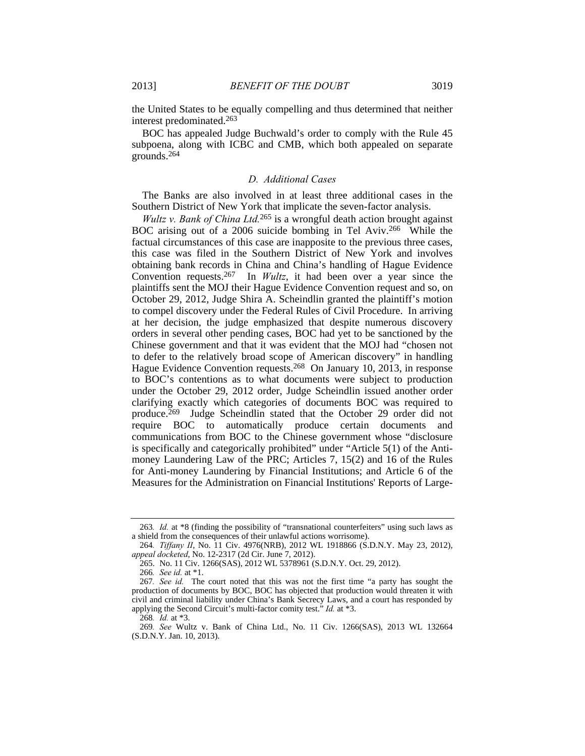the United States to be equally compelling and thus determined that neither interest predominated.263

BOC has appealed Judge Buchwald's order to comply with the Rule 45 subpoena, along with ICBC and CMB, which both appealed on separate grounds.264

## *D. Additional Cases*

The Banks are also involved in at least three additional cases in the Southern District of New York that implicate the seven-factor analysis.

*Wultz v. Bank of China Ltd.*265 is a wrongful death action brought against BOC arising out of a 2006 suicide bombing in Tel Aviv.266 While the factual circumstances of this case are inapposite to the previous three cases, this case was filed in the Southern District of New York and involves obtaining bank records in China and China's handling of Hague Evidence Convention requests.267 In *Wultz*, it had been over a year since the plaintiffs sent the MOJ their Hague Evidence Convention request and so, on October 29, 2012, Judge Shira A. Scheindlin granted the plaintiff's motion to compel discovery under the Federal Rules of Civil Procedure. In arriving at her decision, the judge emphasized that despite numerous discovery orders in several other pending cases, BOC had yet to be sanctioned by the Chinese government and that it was evident that the MOJ had "chosen not to defer to the relatively broad scope of American discovery" in handling Hague Evidence Convention requests.268 On January 10, 2013, in response to BOC's contentions as to what documents were subject to production under the October 29, 2012 order, Judge Scheindlin issued another order clarifying exactly which categories of documents BOC was required to produce.269 Judge Scheindlin stated that the October 29 order did not require BOC to automatically produce certain documents and communications from BOC to the Chinese government whose "disclosure is specifically and categorically prohibited" under "Article 5(1) of the Antimoney Laundering Law of the PRC; Articles 7, 15(2) and 16 of the Rules for Anti-money Laundering by Financial Institutions; and Article 6 of the Measures for the Administration on Financial Institutions' Reports of Large-

<sup>263</sup>*. Id.* at \*8 (finding the possibility of "transnational counterfeiters" using such laws as a shield from the consequences of their unlawful actions worrisome).

<sup>264</sup>*. Tiffany II*, No. 11 Civ. 4976(NRB), 2012 WL 1918866 (S.D.N.Y. May 23, 2012), *appeal docketed*, No. 12-2317 (2d Cir. June 7, 2012).

 <sup>265.</sup> No. 11 Civ. 1266(SAS), 2012 WL 5378961 (S.D.N.Y. Oct. 29, 2012).

<sup>266</sup>*. See id.* at \*1.

<sup>267</sup>*. See id.* The court noted that this was not the first time "a party has sought the production of documents by BOC, BOC has objected that production would threaten it with civil and criminal liability under China's Bank Secrecy Laws, and a court has responded by applying the Second Circuit's multi-factor comity test." *Id.* at \*3.

<sup>268</sup>*. Id.* at \*3.

<sup>269</sup>*. See* Wultz v. Bank of China Ltd., No. 11 Civ. 1266(SAS), 2013 WL 132664 (S.D.N.Y. Jan. 10, 2013).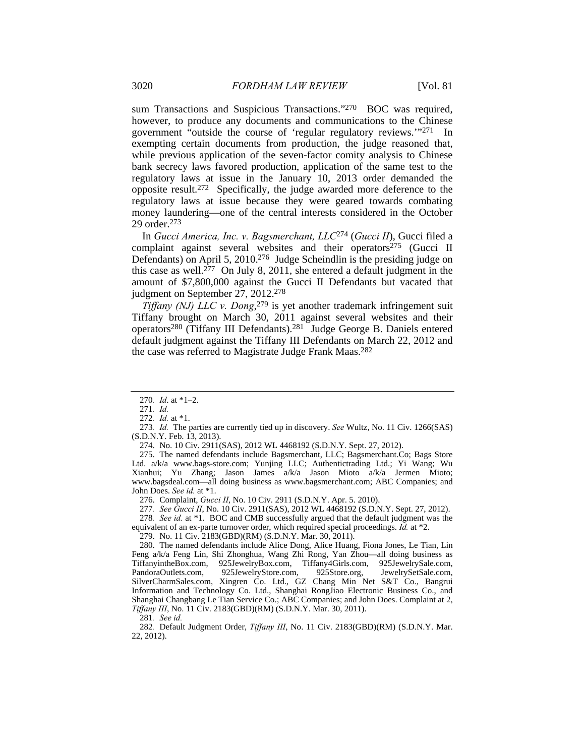sum Transactions and Suspicious Transactions."270 BOC was required, however, to produce any documents and communications to the Chinese government "outside the course of 'regular regulatory reviews.'"271 In exempting certain documents from production, the judge reasoned that, while previous application of the seven-factor comity analysis to Chinese bank secrecy laws favored production, application of the same test to the regulatory laws at issue in the January 10, 2013 order demanded the opposite result.272 Specifically, the judge awarded more deference to the regulatory laws at issue because they were geared towards combating money laundering—one of the central interests considered in the October 29 order.273

In *Gucci America, Inc. v. Bagsmerchant, LLC*274 (*Gucci II*), Gucci filed a complaint against several websites and their operators<sup>275</sup> (Gucci II Defendants) on April 5, 2010.276 Judge Scheindlin is the presiding judge on this case as well.<sup>277</sup> On July 8, 2011, she entered a default judgment in the amount of \$7,800,000 against the Gucci II Defendants but vacated that judgment on September 27, 2012.278

*Tiffany (NJ) LLC v. Dong*, 279 is yet another trademark infringement suit Tiffany brought on March 30, 2011 against several websites and their operators280 (Tiffany III Defendants).281 Judge George B. Daniels entered default judgment against the Tiffany III Defendants on March 22, 2012 and the case was referred to Magistrate Judge Frank Maas.<sup>282</sup>

274. No. 10 Civ. 2911(SAS), 2012 WL 4468192 (S.D.N.Y. Sept. 27, 2012).

 275. The named defendants include Bagsmerchant, LLC; Bagsmerchant.Co; Bags Store Ltd. a/k/a www.bags-store.com; Yunjing LLC; Authentictrading Ltd.; Yi Wang; Wu Xianhui; Yu Zhang; Jason James a/k/a Jason Mioto a/k/a Jermen Mioto; www.bagsdeal.com—all doing business as www.bagsmerchant.com; ABC Companies; and John Does. *See id.* at \*1.

276. Complaint, *Gucci II*, No. 10 Civ. 2911 (S.D.N.Y. Apr. 5. 2010).

277*. See Gucci II*, No. 10 Civ. 2911(SAS), 2012 WL 4468192 (S.D.N.Y. Sept. 27, 2012).

278*. See id.* at \*1. BOC and CMB successfully argued that the default judgment was the equivalent of an ex-parte turnover order, which required special proceedings. *Id.* at \*2.

279. No. 11 Civ. 2183(GBD)(RM) (S.D.N.Y. Mar. 30, 2011).

 280. The named defendants include Alice Dong, Alice Huang, Fiona Jones, Le Tian, Lin Feng a/k/a Feng Lin, Shi Zhonghua, Wang Zhi Rong, Yan Zhou—all doing business as TiffanyintheBox.com, 925JewelryBox.com, Tiffany4Girls.com, 925JewelrySale.com, PandoraOutlets.com, 925JewelryStore.com, 925Store.org, JewelrySetSale.com, PandoraOutlets.com, 925JewelryStore.com, 925Store.org, JewelrySetSale.com, SilverCharmSales.com, Xingren Co. Ltd., GZ Chang Min Net S&T Co., Bangrui Information and Technology Co. Ltd., Shanghai RongJiao Electronic Business Co., and Shanghai Changbang Le Tian Service Co.; ABC Companies; and John Does. Complaint at 2, *Tiffany III*, No. 11 Civ. 2183(GBD)(RM) (S.D.N.Y. Mar. 30, 2011).

281*. See id.*

282*.* Default Judgment Order, *Tiffany III*, No. 11 Civ. 2183(GBD)(RM) (S.D.N.Y. Mar. 22, 2012).

<sup>270</sup>*. Id*. at \*1–2.

<sup>271</sup>*. Id.*

<sup>272</sup>*. Id.* at \*1.

<sup>273</sup>*. Id.* The parties are currently tied up in discovery. *See* Wultz, No. 11 Civ. 1266(SAS) (S.D.N.Y. Feb. 13, 2013).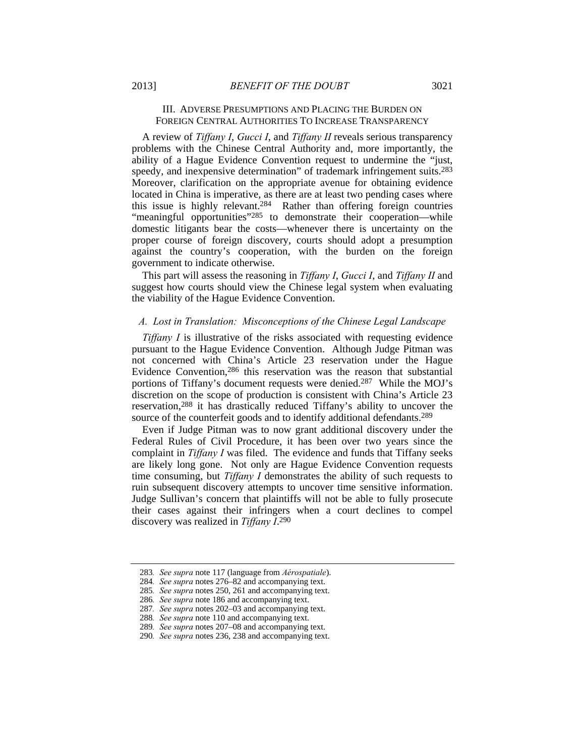# III. ADVERSE PRESUMPTIONS AND PLACING THE BURDEN ON FOREIGN CENTRAL AUTHORITIES TO INCREASE TRANSPARENCY

A review of *Tiffany I*, *Gucci I*, and *Tiffany II* reveals serious transparency problems with the Chinese Central Authority and, more importantly, the ability of a Hague Evidence Convention request to undermine the "just, speedy, and inexpensive determination" of trademark infringement suits.283 Moreover, clarification on the appropriate avenue for obtaining evidence located in China is imperative, as there are at least two pending cases where this issue is highly relevant.284 Rather than offering foreign countries "meaningful opportunities"285 to demonstrate their cooperation—while domestic litigants bear the costs—whenever there is uncertainty on the proper course of foreign discovery, courts should adopt a presumption against the country's cooperation, with the burden on the foreign government to indicate otherwise.

This part will assess the reasoning in *Tiffany I*, *Gucci I*, and *Tiffany II* and suggest how courts should view the Chinese legal system when evaluating the viability of the Hague Evidence Convention.

#### *A. Lost in Translation: Misconceptions of the Chinese Legal Landscape*

*Tiffany I* is illustrative of the risks associated with requesting evidence pursuant to the Hague Evidence Convention. Although Judge Pitman was not concerned with China's Article 23 reservation under the Hague Evidence Convention,286 this reservation was the reason that substantial portions of Tiffany's document requests were denied.287 While the MOJ's discretion on the scope of production is consistent with China's Article 23 reservation,288 it has drastically reduced Tiffany's ability to uncover the source of the counterfeit goods and to identify additional defendants.<sup>289</sup>

Even if Judge Pitman was to now grant additional discovery under the Federal Rules of Civil Procedure, it has been over two years since the complaint in *Tiffany I* was filed. The evidence and funds that Tiffany seeks are likely long gone. Not only are Hague Evidence Convention requests time consuming, but *Tiffany I* demonstrates the ability of such requests to ruin subsequent discovery attempts to uncover time sensitive information. Judge Sullivan's concern that plaintiffs will not be able to fully prosecute their cases against their infringers when a court declines to compel discovery was realized in *Tiffany I*. 290

<sup>283</sup>*. See supra* note 117 (language from *Aérospatiale*).

<sup>284</sup>*. See supra* notes 276–82 and accompanying text.

<sup>285</sup>*. See supra* notes 250, 261 and accompanying text.

<sup>286</sup>*. See supra* note 186 and accompanying text.

<sup>287</sup>*. See supra* notes 202–03 and accompanying text.

<sup>288</sup>*. See supra* note 110 and accompanying text.

<sup>289</sup>*. See supra* notes 207–08 and accompanying text.

<sup>290</sup>*. See supra* notes 236, 238 and accompanying text.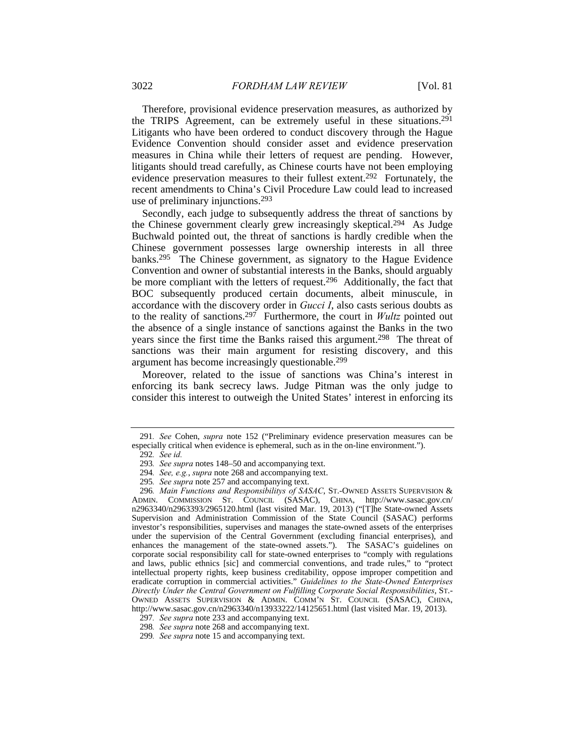Therefore, provisional evidence preservation measures, as authorized by the TRIPS Agreement, can be extremely useful in these situations.291 Litigants who have been ordered to conduct discovery through the Hague Evidence Convention should consider asset and evidence preservation measures in China while their letters of request are pending. However, litigants should tread carefully, as Chinese courts have not been employing evidence preservation measures to their fullest extent.292 Fortunately, the recent amendments to China's Civil Procedure Law could lead to increased use of preliminary injunctions.293

Secondly, each judge to subsequently address the threat of sanctions by the Chinese government clearly grew increasingly skeptical.<sup>294</sup> As Judge Buchwald pointed out, the threat of sanctions is hardly credible when the Chinese government possesses large ownership interests in all three banks.295 The Chinese government, as signatory to the Hague Evidence Convention and owner of substantial interests in the Banks, should arguably be more compliant with the letters of request.296 Additionally, the fact that BOC subsequently produced certain documents, albeit minuscule, in accordance with the discovery order in *Gucci I*, also casts serious doubts as to the reality of sanctions.297 Furthermore, the court in *Wultz* pointed out the absence of a single instance of sanctions against the Banks in the two years since the first time the Banks raised this argument.<sup>298</sup> The threat of sanctions was their main argument for resisting discovery, and this argument has become increasingly questionable.299

Moreover, related to the issue of sanctions was China's interest in enforcing its bank secrecy laws. Judge Pitman was the only judge to consider this interest to outweigh the United States' interest in enforcing its

<sup>291</sup>*. See* Cohen, *supra* note 152 ("Preliminary evidence preservation measures can be especially critical when evidence is ephemeral, such as in the on-line environment.").

<sup>292</sup>*. See id.*

<sup>293</sup>*. See supra* notes 148–50 and accompanying text.

<sup>294</sup>*. See, e.g.*, *supra* note 268 and accompanying text.

<sup>295</sup>*. See supra* note 257 and accompanying text.

<sup>296</sup>*. Main Functions and Responsibilitys of SASAC*, ST.-OWNED ASSETS SUPERVISION & ADMIN. COMMISSION ST. COUNCIL (SASAC), CHINA, http://www.sasac.gov.cn/ n2963340/n2963393/2965120.html (last visited Mar. 19, 2013) ("[T]he State-owned Assets Supervision and Administration Commission of the State Council (SASAC) performs investor's responsibilities, supervises and manages the state-owned assets of the enterprises under the supervision of the Central Government (excluding financial enterprises), and enhances the management of the state-owned assets."). The SASAC's guidelines on corporate social responsibility call for state-owned enterprises to "comply with regulations and laws, public ethnics [sic] and commercial conventions, and trade rules," to "protect intellectual property rights, keep business creditability, oppose improper competition and eradicate corruption in commercial activities." *Guidelines to the State-Owned Enterprises Directly Under the Central Government on Fulfilling Corporate Social Responsibilities*, ST.- OWNED ASSETS SUPERVISION & ADMIN. COMM'N ST. COUNCIL (SASAC), CHINA, http://www.sasac.gov.cn/n2963340/n13933222/14125651.html (last visited Mar. 19, 2013).

<sup>297</sup>*. See supra* note 233 and accompanying text.

<sup>298</sup>*. See supra* note 268 and accompanying text.

<sup>299</sup>*. See supra* note 15 and accompanying text.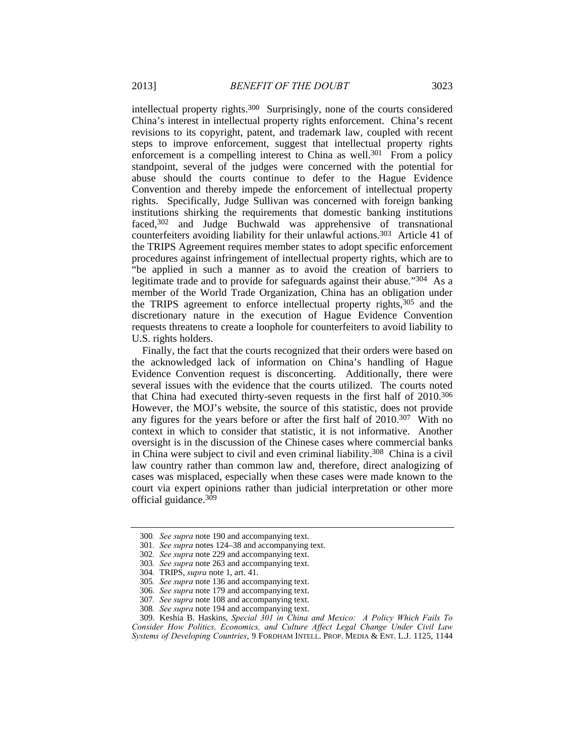intellectual property rights.300 Surprisingly, none of the courts considered China's interest in intellectual property rights enforcement. China's recent revisions to its copyright, patent, and trademark law, coupled with recent steps to improve enforcement, suggest that intellectual property rights enforcement is a compelling interest to China as well.<sup>301</sup> From a policy standpoint, several of the judges were concerned with the potential for abuse should the courts continue to defer to the Hague Evidence Convention and thereby impede the enforcement of intellectual property rights. Specifically, Judge Sullivan was concerned with foreign banking institutions shirking the requirements that domestic banking institutions faced,<sup>302</sup> and Judge Buchwald was apprehensive of transnational counterfeiters avoiding liability for their unlawful actions.303 Article 41 of the TRIPS Agreement requires member states to adopt specific enforcement procedures against infringement of intellectual property rights, which are to "be applied in such a manner as to avoid the creation of barriers to legitimate trade and to provide for safeguards against their abuse."304 As a member of the World Trade Organization, China has an obligation under the TRIPS agreement to enforce intellectual property rights,305 and the discretionary nature in the execution of Hague Evidence Convention requests threatens to create a loophole for counterfeiters to avoid liability to U.S. rights holders.

Finally, the fact that the courts recognized that their orders were based on the acknowledged lack of information on China's handling of Hague Evidence Convention request is disconcerting. Additionally, there were several issues with the evidence that the courts utilized. The courts noted that China had executed thirty-seven requests in the first half of 2010.306 However, the MOJ's website, the source of this statistic, does not provide any figures for the years before or after the first half of 2010.307 With no context in which to consider that statistic, it is not informative. Another oversight is in the discussion of the Chinese cases where commercial banks in China were subject to civil and even criminal liability.308 China is a civil law country rather than common law and, therefore, direct analogizing of cases was misplaced, especially when these cases were made known to the court via expert opinions rather than judicial interpretation or other more official guidance.309

<sup>300</sup>*. See supra* note 190 and accompanying text.

<sup>301</sup>*. See supra* notes 124–38 and accompanying text.

<sup>302</sup>*. See supra* note 229 and accompanying text.

<sup>303</sup>*. See supra* note 263 and accompanying text.

<sup>304</sup>*.* TRIPS, *supra* note 1, art. 41.

<sup>305</sup>*. See supra* note 136 and accompanying text.

<sup>306</sup>*. See supra* note 179 and accompanying text.

<sup>307</sup>*. See supra* note 108 and accompanying text.

<sup>308</sup>*. See supra* note 194 and accompanying text.

 <sup>309.</sup> Keshia B. Haskins, *Special 301 in China and Mexico: A Policy Which Fails To Consider How Politics, Economics, and Culture Affect Legal Change Under Civil Law Systems of Developing Countries*, 9 FORDHAM INTELL. PROP. MEDIA & ENT. L.J. 1125, 1144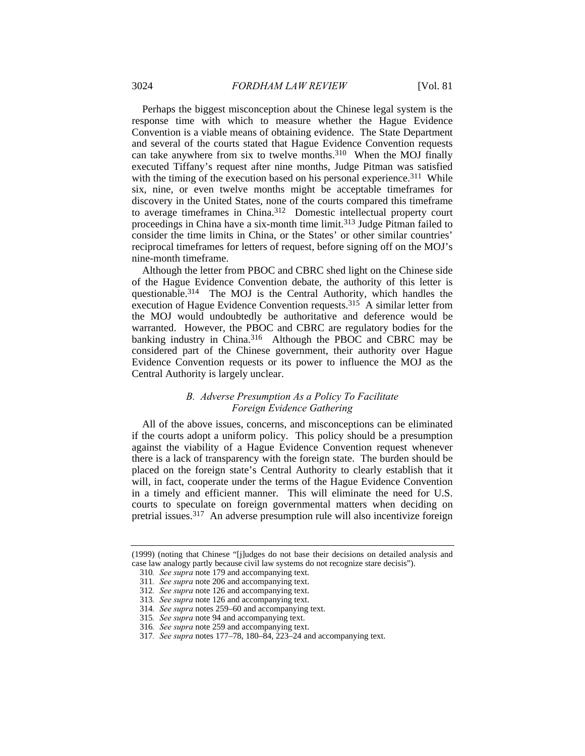Perhaps the biggest misconception about the Chinese legal system is the response time with which to measure whether the Hague Evidence Convention is a viable means of obtaining evidence. The State Department and several of the courts stated that Hague Evidence Convention requests can take anywhere from six to twelve months.310 When the MOJ finally executed Tiffany's request after nine months, Judge Pitman was satisfied with the timing of the execution based on his personal experience.<sup>311</sup> While six, nine, or even twelve months might be acceptable timeframes for discovery in the United States, none of the courts compared this timeframe to average timeframes in China.312 Domestic intellectual property court proceedings in China have a six-month time limit.313 Judge Pitman failed to consider the time limits in China, or the States' or other similar countries' reciprocal timeframes for letters of request, before signing off on the MOJ's nine-month timeframe.

Although the letter from PBOC and CBRC shed light on the Chinese side of the Hague Evidence Convention debate, the authority of this letter is questionable.314 The MOJ is the Central Authority, which handles the execution of Hague Evidence Convention requests.315 A similar letter from the MOJ would undoubtedly be authoritative and deference would be warranted. However, the PBOC and CBRC are regulatory bodies for the banking industry in China.<sup>316</sup> Although the PBOC and CBRC may be considered part of the Chinese government, their authority over Hague Evidence Convention requests or its power to influence the MOJ as the Central Authority is largely unclear.

## *B. Adverse Presumption As a Policy To Facilitate Foreign Evidence Gathering*

All of the above issues, concerns, and misconceptions can be eliminated if the courts adopt a uniform policy. This policy should be a presumption against the viability of a Hague Evidence Convention request whenever there is a lack of transparency with the foreign state. The burden should be placed on the foreign state's Central Authority to clearly establish that it will, in fact, cooperate under the terms of the Hague Evidence Convention in a timely and efficient manner. This will eliminate the need for U.S. courts to speculate on foreign governmental matters when deciding on pretrial issues.317 An adverse presumption rule will also incentivize foreign

<sup>(1999) (</sup>noting that Chinese "[j]udges do not base their decisions on detailed analysis and case law analogy partly because civil law systems do not recognize stare decisis").

<sup>310</sup>*. See supra* note 179 and accompanying text.

<sup>311</sup>*. See supra* note 206 and accompanying text.

<sup>312</sup>*. See supra* note 126 and accompanying text.

<sup>313</sup>*. See supra* note 126 and accompanying text.

<sup>314</sup>*. See supra* notes 259–60 and accompanying text.

<sup>315</sup>*. See supra* note 94 and accompanying text.

<sup>316</sup>*. See supra* note 259 and accompanying text.

<sup>317</sup>*. See supra* notes 177–78, 180–84, 223–24 and accompanying text.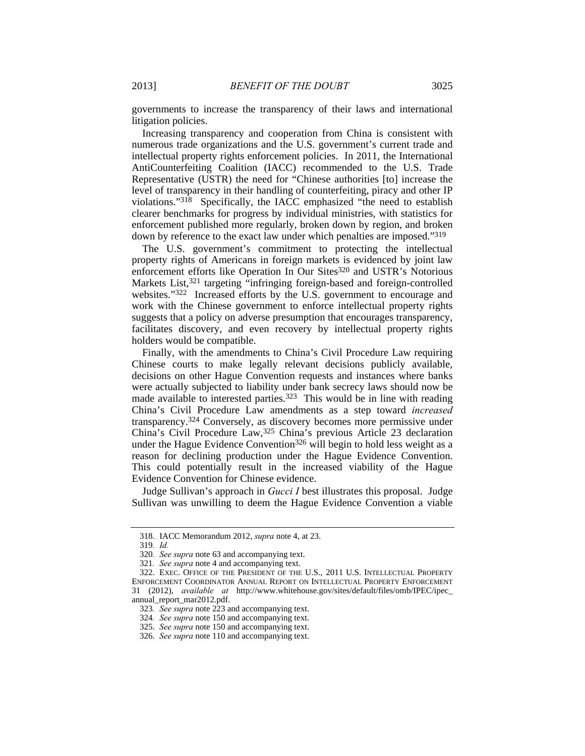governments to increase the transparency of their laws and international litigation policies.

Increasing transparency and cooperation from China is consistent with numerous trade organizations and the U.S. government's current trade and intellectual property rights enforcement policies. In 2011, the International AntiCounterfeiting Coalition (IACC) recommended to the U.S. Trade Representative (USTR) the need for "Chinese authorities [to] increase the level of transparency in their handling of counterfeiting, piracy and other IP violations."318 Specifically, the IACC emphasized "the need to establish clearer benchmarks for progress by individual ministries, with statistics for enforcement published more regularly, broken down by region, and broken down by reference to the exact law under which penalties are imposed."319

The U.S. government's commitment to protecting the intellectual property rights of Americans in foreign markets is evidenced by joint law enforcement efforts like Operation In Our Sites<sup>320</sup> and USTR's Notorious Markets List,<sup>321</sup> targeting "infringing foreign-based and foreign-controlled websites."322 Increased efforts by the U.S. government to encourage and work with the Chinese government to enforce intellectual property rights suggests that a policy on adverse presumption that encourages transparency, facilitates discovery, and even recovery by intellectual property rights holders would be compatible.

Finally, with the amendments to China's Civil Procedure Law requiring Chinese courts to make legally relevant decisions publicly available, decisions on other Hague Convention requests and instances where banks were actually subjected to liability under bank secrecy laws should now be made available to interested parties.<sup>323</sup> This would be in line with reading China's Civil Procedure Law amendments as a step toward *increased* transparency.324 Conversely, as discovery becomes more permissive under China's Civil Procedure Law,325 China's previous Article 23 declaration under the Hague Evidence Convention<sup>326</sup> will begin to hold less weight as a reason for declining production under the Hague Evidence Convention. This could potentially result in the increased viability of the Hague Evidence Convention for Chinese evidence.

Judge Sullivan's approach in *Gucci I* best illustrates this proposal. Judge Sullivan was unwilling to deem the Hague Evidence Convention a viable

 <sup>318.</sup> IACC Memorandum 2012, *supra* note 4, at 23.

<sup>319</sup>*. Id.*

<sup>320</sup>*. See supra* note 63 and accompanying text.

<sup>321</sup>*. See supra* note 4 and accompanying text.

 <sup>322.</sup> EXEC. OFFICE OF THE PRESIDENT OF THE U.S., 2011 U.S. INTELLECTUAL PROPERTY ENFORCEMENT COORDINATOR ANNUAL REPORT ON INTELLECTUAL PROPERTY ENFORCEMENT 31 (2012), *available at* http://www.whitehouse.gov/sites/default/files/omb/IPEC/ipec\_ annual\_report\_mar2012.pdf.

<sup>323</sup>*. See supra* note 223 and accompanying text.

<sup>324</sup>*. See supra* note 150 and accompanying text.

 <sup>325.</sup> *See supra* note 150 and accompanying text.

 <sup>326.</sup> *See supra* note 110 and accompanying text.